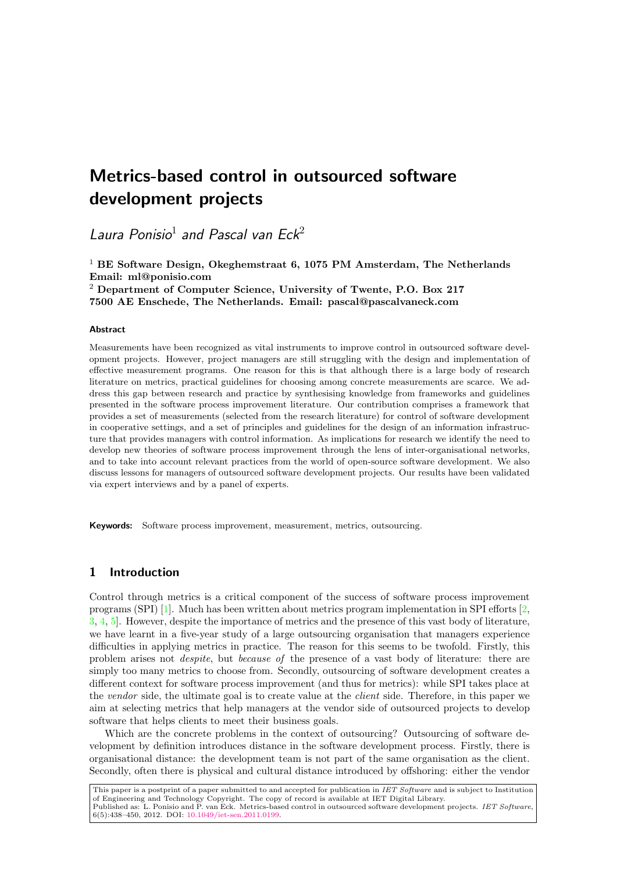# Metrics-based control in outsourced software development projects

Laura Ponisio<sup>1</sup> and Pascal van Eck<sup>2</sup>

<sup>1</sup> BE Software Design, Okeghemstraat 6, 1075 PM Amsterdam, The Netherlands Email: ml@ponisio.com

<sup>2</sup> Department of Computer Science, University of Twente, P.O. Box 217 7500 AE Enschede, The Netherlands. Email: pascal@pascalvaneck.com

#### Abstract

Measurements have been recognized as vital instruments to improve control in outsourced software development projects. However, project managers are still struggling with the design and implementation of effective measurement programs. One reason for this is that although there is a large body of research literature on metrics, practical guidelines for choosing among concrete measurements are scarce. We address this gap between research and practice by synthesising knowledge from frameworks and guidelines presented in the software process improvement literature. Our contribution comprises a framework that provides a set of measurements (selected from the research literature) for control of software development in cooperative settings, and a set of principles and guidelines for the design of an information infrastructure that provides managers with control information. As implications for research we identify the need to develop new theories of software process improvement through the lens of inter-organisational networks, and to take into account relevant practices from the world of open-source software development. We also discuss lessons for managers of outsourced software development projects. Our results have been validated via expert interviews and by a panel of experts.

Keywords: Software process improvement, measurement, metrics, outsourcing.

## 1 Introduction

Control through metrics is a critical component of the success of software process improvement programs (SPI) [\[1\]](#page-16-0). Much has been written about metrics program implementation in SPI efforts [\[2,](#page-16-1) [3,](#page-16-2) [4,](#page-16-3) [5\]](#page-17-0). However, despite the importance of metrics and the presence of this vast body of literature, we have learnt in a five-year study of a large outsourcing organisation that managers experience difficulties in applying metrics in practice. The reason for this seems to be twofold. Firstly, this problem arises not despite, but because of the presence of a vast body of literature: there are simply too many metrics to choose from. Secondly, outsourcing of software development creates a different context for software process improvement (and thus for metrics): while SPI takes place at the vendor side, the ultimate goal is to create value at the client side. Therefore, in this paper we aim at selecting metrics that help managers at the vendor side of outsourced projects to develop software that helps clients to meet their business goals.

Which are the concrete problems in the context of outsourcing? Outsourcing of software development by definition introduces distance in the software development process. Firstly, there is organisational distance: the development team is not part of the same organisation as the client. Secondly, often there is physical and cultural distance introduced by offshoring: either the vendor

This paper is a postprint of a paper submitted to and accepted for publication in IET Software and is subject to Institution of Engineering and Technology Copyright. The copy of record is available at IET Digital Library. Published as: L. Ponisio and P. van Eck. Metrics-based control in outsourced software development projects. IET Software, 6(5):438–450, 2012. DOI: [10.1049/iet-sen.2011.0199.](http://dx.doi.org/10.1049/iet-sen.2011.0199)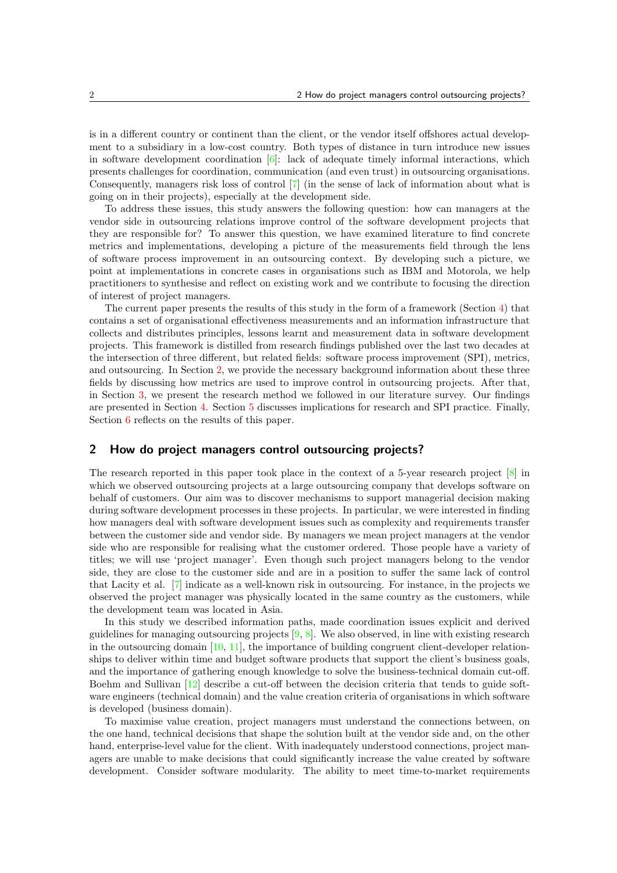is in a different country or continent than the client, or the vendor itself offshores actual development to a subsidiary in a low-cost country. Both types of distance in turn introduce new issues in software development coordination  $[6]$ : lack of adequate timely informal interactions, which presents challenges for coordination, communication (and even trust) in outsourcing organisations. Consequently, managers risk loss of control [\[7\]](#page-17-2) (in the sense of lack of information about what is going on in their projects), especially at the development side.

To address these issues, this study answers the following question: how can managers at the vendor side in outsourcing relations improve control of the software development projects that they are responsible for? To answer this question, we have examined literature to find concrete metrics and implementations, developing a picture of the measurements field through the lens of software process improvement in an outsourcing context. By developing such a picture, we point at implementations in concrete cases in organisations such as IBM and Motorola, we help practitioners to synthesise and reflect on existing work and we contribute to focusing the direction of interest of project managers.

The current paper presents the results of this study in the form of a framework (Section [4\)](#page-7-0) that contains a set of organisational effectiveness measurements and an information infrastructure that collects and distributes principles, lessons learnt and measurement data in software development projects. This framework is distilled from research findings published over the last two decades at the intersection of three different, but related fields: software process improvement (SPI), metrics, and outsourcing. In Section [2,](#page-1-0) we provide the necessary background information about these three fields by discussing how metrics are used to improve control in outsourcing projects. After that, in Section [3,](#page-4-0) we present the research method we followed in our literature survey. Our findings are presented in Section [4.](#page-7-0) Section [5](#page-13-0) discusses implications for research and SPI practice. Finally, Section [6](#page-15-0) reflects on the results of this paper.

## <span id="page-1-0"></span>2 How do project managers control outsourcing projects?

The research reported in this paper took place in the context of a 5-year research project [\[8\]](#page-17-3) in which we observed outsourcing projects at a large outsourcing company that develops software on behalf of customers. Our aim was to discover mechanisms to support managerial decision making during software development processes in these projects. In particular, we were interested in finding how managers deal with software development issues such as complexity and requirements transfer between the customer side and vendor side. By managers we mean project managers at the vendor side who are responsible for realising what the customer ordered. Those people have a variety of titles; we will use 'project manager'. Even though such project managers belong to the vendor side, they are close to the customer side and are in a position to suffer the same lack of control that Lacity et al. [\[7\]](#page-17-2) indicate as a well-known risk in outsourcing. For instance, in the projects we observed the project manager was physically located in the same country as the customers, while the development team was located in Asia.

In this study we described information paths, made coordination issues explicit and derived guidelines for managing outsourcing projects  $(9, 8]$  $(9, 8]$ . We also observed, in line with existing research in the outsourcing domain  $[10, 11]$  $[10, 11]$  $[10, 11]$ , the importance of building congruent client-developer relationships to deliver within time and budget software products that support the client's business goals, and the importance of gathering enough knowledge to solve the business-technical domain cut-off. Boehm and Sullivan [\[12\]](#page-17-7) describe a cut-off between the decision criteria that tends to guide software engineers (technical domain) and the value creation criteria of organisations in which software is developed (business domain).

To maximise value creation, project managers must understand the connections between, on the one hand, technical decisions that shape the solution built at the vendor side and, on the other hand, enterprise-level value for the client. With inadequately understood connections, project managers are unable to make decisions that could significantly increase the value created by software development. Consider software modularity. The ability to meet time-to-market requirements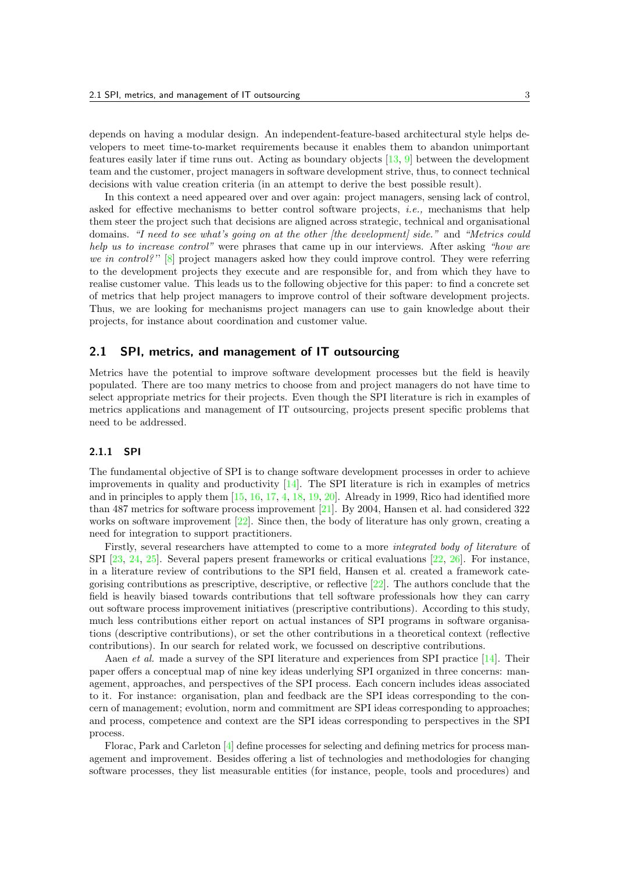depends on having a modular design. An independent-feature-based architectural style helps developers to meet time-to-market requirements because it enables them to abandon unimportant features easily later if time runs out. Acting as boundary objects [\[13,](#page-17-8) [9\]](#page-17-4) between the development team and the customer, project managers in software development strive, thus, to connect technical decisions with value creation criteria (in an attempt to derive the best possible result).

In this context a need appeared over and over again: project managers, sensing lack of control, asked for effective mechanisms to better control software projects, i.e., mechanisms that help them steer the project such that decisions are aligned across strategic, technical and organisational domains. "I need to see what's going on at the other [the development] side." and "Metrics could help us to increase control" were phrases that came up in our interviews. After asking "how are we in control?" [\[8\]](#page-17-3) project managers asked how they could improve control. They were referring to the development projects they execute and are responsible for, and from which they have to realise customer value. This leads us to the following objective for this paper: to find a concrete set of metrics that help project managers to improve control of their software development projects. Thus, we are looking for mechanisms project managers can use to gain knowledge about their projects, for instance about coordination and customer value.

## 2.1 SPI, metrics, and management of IT outsourcing

Metrics have the potential to improve software development processes but the field is heavily populated. There are too many metrics to choose from and project managers do not have time to select appropriate metrics for their projects. Even though the SPI literature is rich in examples of metrics applications and management of IT outsourcing, projects present specific problems that need to be addressed.

## 2.1.1 SPI

The fundamental objective of SPI is to change software development processes in order to achieve improvements in quality and productivity  $[14]$ . The SPI literature is rich in examples of metrics and in principles to apply them [\[15,](#page-17-10) [16,](#page-17-11) [17,](#page-17-12) [4,](#page-16-3) [18,](#page-17-13) [19,](#page-17-14) [20\]](#page-17-15). Already in 1999, Rico had identified more than 487 metrics for software process improvement [\[21\]](#page-17-16). By 2004, Hansen et al. had considered 322 works on software improvement [\[22\]](#page-18-0). Since then, the body of literature has only grown, creating a need for integration to support practitioners.

Firstly, several researchers have attempted to come to a more *integrated body of literature* of SPI [\[23,](#page-18-1) [24,](#page-18-2) [25\]](#page-18-3). Several papers present frameworks or critical evaluations [\[22,](#page-18-0) [26\]](#page-18-4). For instance, in a literature review of contributions to the SPI field, Hansen et al. created a framework categorising contributions as prescriptive, descriptive, or reflective [\[22\]](#page-18-0). The authors conclude that the field is heavily biased towards contributions that tell software professionals how they can carry out software process improvement initiatives (prescriptive contributions). According to this study, much less contributions either report on actual instances of SPI programs in software organisations (descriptive contributions), or set the other contributions in a theoretical context (reflective contributions). In our search for related work, we focussed on descriptive contributions.

Aaen et al. made a survey of the SPI literature and experiences from SPI practice [\[14\]](#page-17-9). Their paper offers a conceptual map of nine key ideas underlying SPI organized in three concerns: management, approaches, and perspectives of the SPI process. Each concern includes ideas associated to it. For instance: organisation, plan and feedback are the SPI ideas corresponding to the concern of management; evolution, norm and commitment are SPI ideas corresponding to approaches; and process, competence and context are the SPI ideas corresponding to perspectives in the SPI process.

Florac, Park and Carleton [\[4\]](#page-16-3) define processes for selecting and defining metrics for process management and improvement. Besides offering a list of technologies and methodologies for changing software processes, they list measurable entities (for instance, people, tools and procedures) and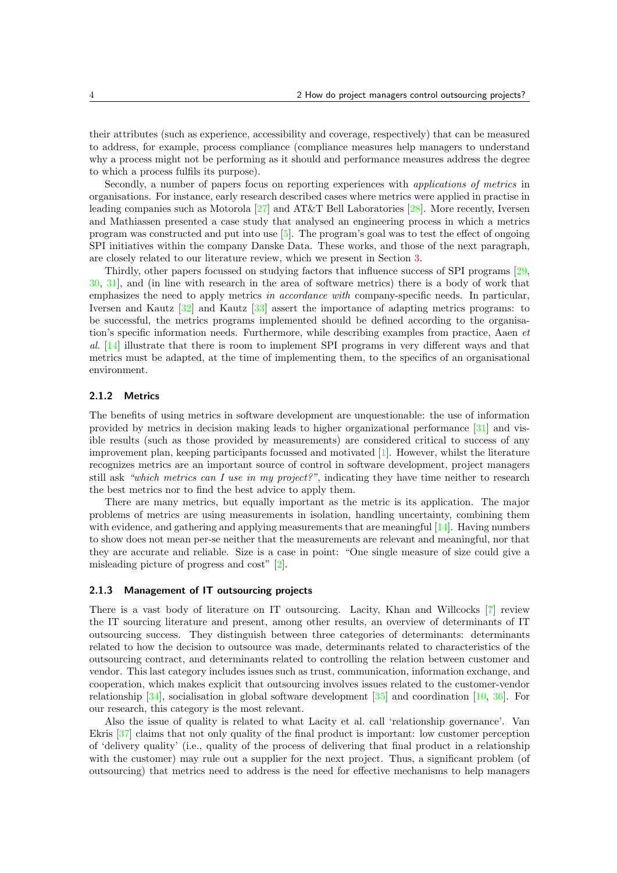their attributes (such as experience, accessibility and coverage, respectively) that can be measured to address, for example, process compliance (compliance measures help managers to understand why a process might not be performing as it should and performance measures address the degree to which a process fulfils its purpose).

Secondly, a number of papers focus on reporting experiences with applications of metrics in organisations. For instance, early research described cases where metrics were applied in practise in leading companies such as Motorola [\[27\]](#page-18-5) and AT&T Bell Laboratories [\[28\]](#page-18-6). More recently, Iversen and Mathiassen presented a case study that analysed an engineering process in which a metrics program was constructed and put into use [\[5\]](#page-17-0). The program's goal was to test the effect of ongoing SPI initiatives within the company Danske Data. These works, and those of the next paragraph, are closely related to our literature review, which we present in Section [3.](#page-4-0)

Thirdly, other papers focussed on studying factors that influence success of SPI programs [\[29,](#page-18-7) [30,](#page-18-8) [31\]](#page-18-9), and (in line with research in the area of software metrics) there is a body of work that emphasizes the need to apply metrics in accordance with company-specific needs. In particular, Iversen and Kautz [\[32\]](#page-18-10) and Kautz [\[33\]](#page-18-11) assert the importance of adapting metrics programs: to be successful, the metrics programs implemented should be defined according to the organisation's specific information needs. Furthermore, while describing examples from practice, Aaen et al. [\[14\]](#page-17-9) illustrate that there is room to implement SPI programs in very different ways and that metrics must be adapted, at the time of implementing them, to the specifics of an organisational environment.

#### 2.1.2 Metrics

The benefits of using metrics in software development are unquestionable: the use of information provided by metrics in decision making leads to higher organizational performance [\[31\]](#page-18-9) and visible results (such as those provided by measurements) are considered critical to success of any improvement plan, keeping participants focussed and motivated [\[1\]](#page-16-0). However, whilst the literature recognizes metrics are an important source of control in software development, project managers still ask "which metrics can I use in my project?", indicating they have time neither to research the best metrics nor to find the best advice to apply them.

There are many metrics, but equally important as the metric is its application. The major problems of metrics are using measurements in isolation, handling uncertainty, combining them with evidence, and gathering and applying measurements that are meaningful  $[14]$ . Having numbers to show does not mean per-se neither that the measurements are relevant and meaningful, nor that they are accurate and reliable. Size is a case in point: "One single measure of size could give a misleading picture of progress and cost" [\[2\]](#page-16-1).

#### 2.1.3 Management of IT outsourcing projects

There is a vast body of literature on IT outsourcing. Lacity, Khan and Willcocks [\[7\]](#page-17-2) review the IT sourcing literature and present, among other results, an overview of determinants of IT outsourcing success. They distinguish between three categories of determinants: determinants related to how the decision to outsource was made, determinants related to characteristics of the outsourcing contract, and determinants related to controlling the relation between customer and vendor. This last category includes issues such as trust, communication, information exchange, and cooperation, which makes explicit that outsourcing involves issues related to the customer-vendor relationship [\[34\]](#page-18-12), socialisation in global software development [\[35\]](#page-18-13) and coordination [\[10,](#page-17-5) [36\]](#page-18-14). For our research, this category is the most relevant.

Also the issue of quality is related to what Lacity et al. call 'relationship governance'. Van Ekris [\[37\]](#page-18-15) claims that not only quality of the final product is important: low customer perception of 'delivery quality' (i.e., quality of the process of delivering that final product in a relationship with the customer) may rule out a supplier for the next project. Thus, a significant problem (of outsourcing) that metrics need to address is the need for effective mechanisms to help managers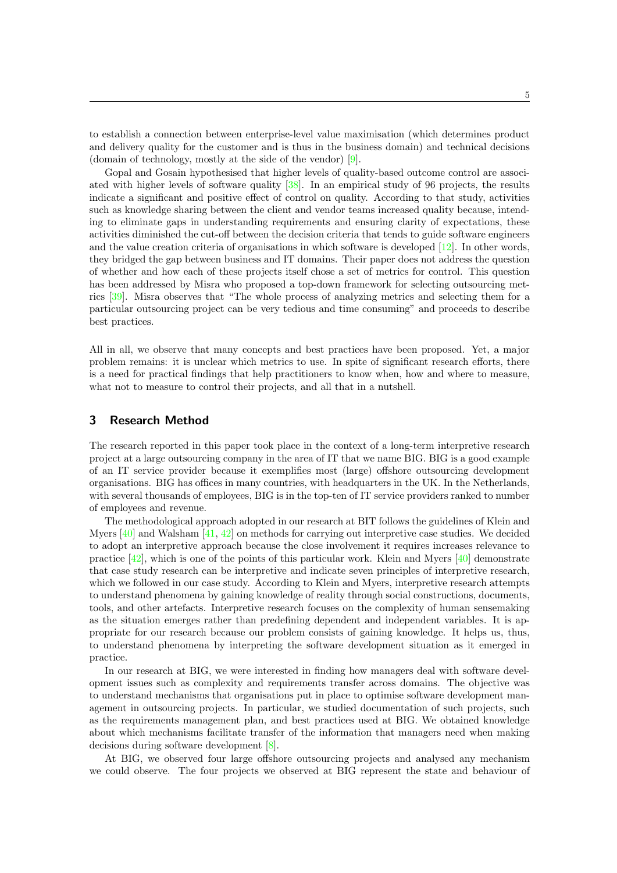to establish a connection between enterprise-level value maximisation (which determines product and delivery quality for the customer and is thus in the business domain) and technical decisions (domain of technology, mostly at the side of the vendor) [\[9\]](#page-17-4).

Gopal and Gosain hypothesised that higher levels of quality-based outcome control are associated with higher levels of software quality [\[38\]](#page-19-0). In an empirical study of 96 projects, the results indicate a significant and positive effect of control on quality. According to that study, activities such as knowledge sharing between the client and vendor teams increased quality because, intending to eliminate gaps in understanding requirements and ensuring clarity of expectations, these activities diminished the cut-off between the decision criteria that tends to guide software engineers and the value creation criteria of organisations in which software is developed [\[12\]](#page-17-7). In other words, they bridged the gap between business and IT domains. Their paper does not address the question of whether and how each of these projects itself chose a set of metrics for control. This question has been addressed by Misra who proposed a top-down framework for selecting outsourcing metrics [\[39\]](#page-19-1). Misra observes that "The whole process of analyzing metrics and selecting them for a particular outsourcing project can be very tedious and time consuming" and proceeds to describe best practices.

All in all, we observe that many concepts and best practices have been proposed. Yet, a major problem remains: it is unclear which metrics to use. In spite of significant research efforts, there is a need for practical findings that help practitioners to know when, how and where to measure, what not to measure to control their projects, and all that in a nutshell.

## <span id="page-4-0"></span>3 Research Method

The research reported in this paper took place in the context of a long-term interpretive research project at a large outsourcing company in the area of IT that we name BIG. BIG is a good example of an IT service provider because it exemplifies most (large) offshore outsourcing development organisations. BIG has offices in many countries, with headquarters in the UK. In the Netherlands, with several thousands of employees, BIG is in the top-ten of IT service providers ranked to number of employees and revenue.

The methodological approach adopted in our research at BIT follows the guidelines of Klein and Myers  $[40]$  and Walsham  $[41, 42]$  $[41, 42]$  $[41, 42]$  on methods for carrying out interpretive case studies. We decided to adopt an interpretive approach because the close involvement it requires increases relevance to practice  $[42]$ , which is one of the points of this particular work. Klein and Myers  $[40]$  demonstrate that case study research can be interpretive and indicate seven principles of interpretive research, which we followed in our case study. According to Klein and Myers, interpretive research attempts to understand phenomena by gaining knowledge of reality through social constructions, documents, tools, and other artefacts. Interpretive research focuses on the complexity of human sensemaking as the situation emerges rather than predefining dependent and independent variables. It is appropriate for our research because our problem consists of gaining knowledge. It helps us, thus, to understand phenomena by interpreting the software development situation as it emerged in practice.

In our research at BIG, we were interested in finding how managers deal with software development issues such as complexity and requirements transfer across domains. The objective was to understand mechanisms that organisations put in place to optimise software development management in outsourcing projects. In particular, we studied documentation of such projects, such as the requirements management plan, and best practices used at BIG. We obtained knowledge about which mechanisms facilitate transfer of the information that managers need when making decisions during software development [\[8\]](#page-17-3).

At BIG, we observed four large offshore outsourcing projects and analysed any mechanism we could observe. The four projects we observed at BIG represent the state and behaviour of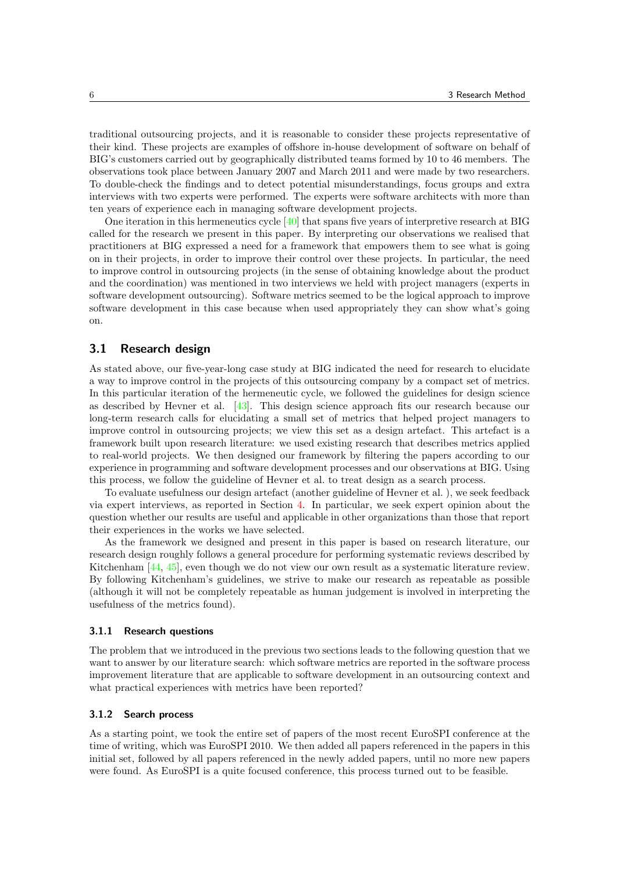traditional outsourcing projects, and it is reasonable to consider these projects representative of their kind. These projects are examples of offshore in-house development of software on behalf of BIG's customers carried out by geographically distributed teams formed by 10 to 46 members. The observations took place between January 2007 and March 2011 and were made by two researchers. To double-check the findings and to detect potential misunderstandings, focus groups and extra interviews with two experts were performed. The experts were software architects with more than ten years of experience each in managing software development projects.

One iteration in this hermeneutics cycle [\[40\]](#page-19-2) that spans five years of interpretive research at BIG called for the research we present in this paper. By interpreting our observations we realised that practitioners at BIG expressed a need for a framework that empowers them to see what is going on in their projects, in order to improve their control over these projects. In particular, the need to improve control in outsourcing projects (in the sense of obtaining knowledge about the product and the coordination) was mentioned in two interviews we held with project managers (experts in software development outsourcing). Software metrics seemed to be the logical approach to improve software development in this case because when used appropriately they can show what's going on.

## 3.1 Research design

As stated above, our five-year-long case study at BIG indicated the need for research to elucidate a way to improve control in the projects of this outsourcing company by a compact set of metrics. In this particular iteration of the hermeneutic cycle, we followed the guidelines for design science as described by Hevner et al. [\[43\]](#page-19-5). This design science approach fits our research because our long-term research calls for elucidating a small set of metrics that helped project managers to improve control in outsourcing projects; we view this set as a design artefact. This artefact is a framework built upon research literature: we used existing research that describes metrics applied to real-world projects. We then designed our framework by filtering the papers according to our experience in programming and software development processes and our observations at BIG. Using this process, we follow the guideline of Hevner et al. to treat design as a search process.

To evaluate usefulness our design artefact (another guideline of Hevner et al. ), we seek feedback via expert interviews, as reported in Section [4.](#page-7-0) In particular, we seek expert opinion about the question whether our results are useful and applicable in other organizations than those that report their experiences in the works we have selected.

As the framework we designed and present in this paper is based on research literature, our research design roughly follows a general procedure for performing systematic reviews described by Kitchenham [\[44,](#page-19-6) [45\]](#page-19-7), even though we do not view our own result as a systematic literature review. By following Kitchenham's guidelines, we strive to make our research as repeatable as possible (although it will not be completely repeatable as human judgement is involved in interpreting the usefulness of the metrics found).

#### 3.1.1 Research questions

The problem that we introduced in the previous two sections leads to the following question that we want to answer by our literature search: which software metrics are reported in the software process improvement literature that are applicable to software development in an outsourcing context and what practical experiences with metrics have been reported?

#### 3.1.2 Search process

As a starting point, we took the entire set of papers of the most recent EuroSPI conference at the time of writing, which was EuroSPI 2010. We then added all papers referenced in the papers in this initial set, followed by all papers referenced in the newly added papers, until no more new papers were found. As EuroSPI is a quite focused conference, this process turned out to be feasible.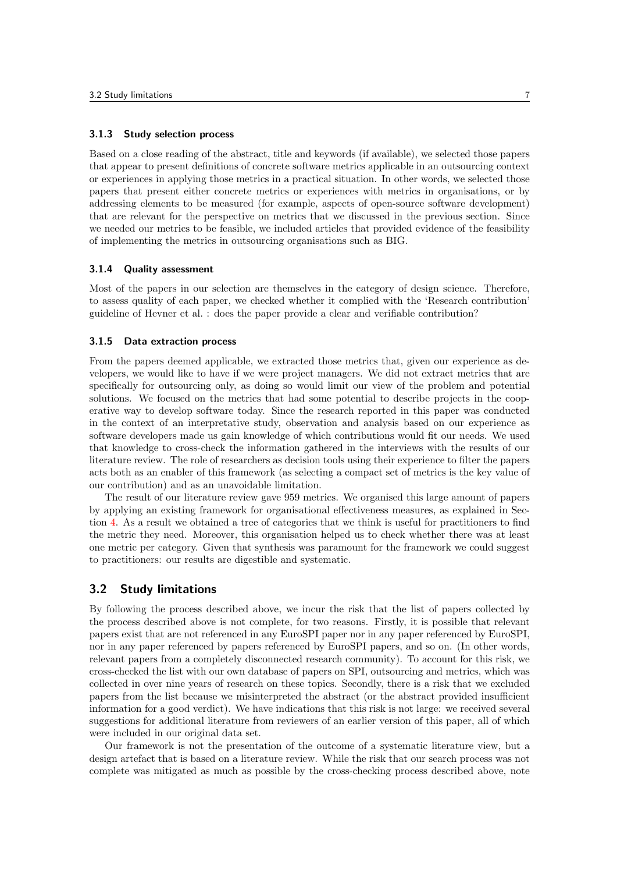#### 3.1.3 Study selection process

Based on a close reading of the abstract, title and keywords (if available), we selected those papers that appear to present definitions of concrete software metrics applicable in an outsourcing context or experiences in applying those metrics in a practical situation. In other words, we selected those papers that present either concrete metrics or experiences with metrics in organisations, or by addressing elements to be measured (for example, aspects of open-source software development) that are relevant for the perspective on metrics that we discussed in the previous section. Since we needed our metrics to be feasible, we included articles that provided evidence of the feasibility of implementing the metrics in outsourcing organisations such as BIG.

## 3.1.4 Quality assessment

Most of the papers in our selection are themselves in the category of design science. Therefore, to assess quality of each paper, we checked whether it complied with the 'Research contribution' guideline of Hevner et al. : does the paper provide a clear and verifiable contribution?

#### 3.1.5 Data extraction process

From the papers deemed applicable, we extracted those metrics that, given our experience as developers, we would like to have if we were project managers. We did not extract metrics that are specifically for outsourcing only, as doing so would limit our view of the problem and potential solutions. We focused on the metrics that had some potential to describe projects in the cooperative way to develop software today. Since the research reported in this paper was conducted in the context of an interpretative study, observation and analysis based on our experience as software developers made us gain knowledge of which contributions would fit our needs. We used that knowledge to cross-check the information gathered in the interviews with the results of our literature review. The role of researchers as decision tools using their experience to filter the papers acts both as an enabler of this framework (as selecting a compact set of metrics is the key value of our contribution) and as an unavoidable limitation.

The result of our literature review gave 959 metrics. We organised this large amount of papers by applying an existing framework for organisational effectiveness measures, as explained in Section [4.](#page-7-0) As a result we obtained a tree of categories that we think is useful for practitioners to find the metric they need. Moreover, this organisation helped us to check whether there was at least one metric per category. Given that synthesis was paramount for the framework we could suggest to practitioners: our results are digestible and systematic.

## 3.2 Study limitations

By following the process described above, we incur the risk that the list of papers collected by the process described above is not complete, for two reasons. Firstly, it is possible that relevant papers exist that are not referenced in any EuroSPI paper nor in any paper referenced by EuroSPI, nor in any paper referenced by papers referenced by EuroSPI papers, and so on. (In other words, relevant papers from a completely disconnected research community). To account for this risk, we cross-checked the list with our own database of papers on SPI, outsourcing and metrics, which was collected in over nine years of research on these topics. Secondly, there is a risk that we excluded papers from the list because we misinterpreted the abstract (or the abstract provided insufficient information for a good verdict). We have indications that this risk is not large: we received several suggestions for additional literature from reviewers of an earlier version of this paper, all of which were included in our original data set.

Our framework is not the presentation of the outcome of a systematic literature view, but a design artefact that is based on a literature review. While the risk that our search process was not complete was mitigated as much as possible by the cross-checking process described above, note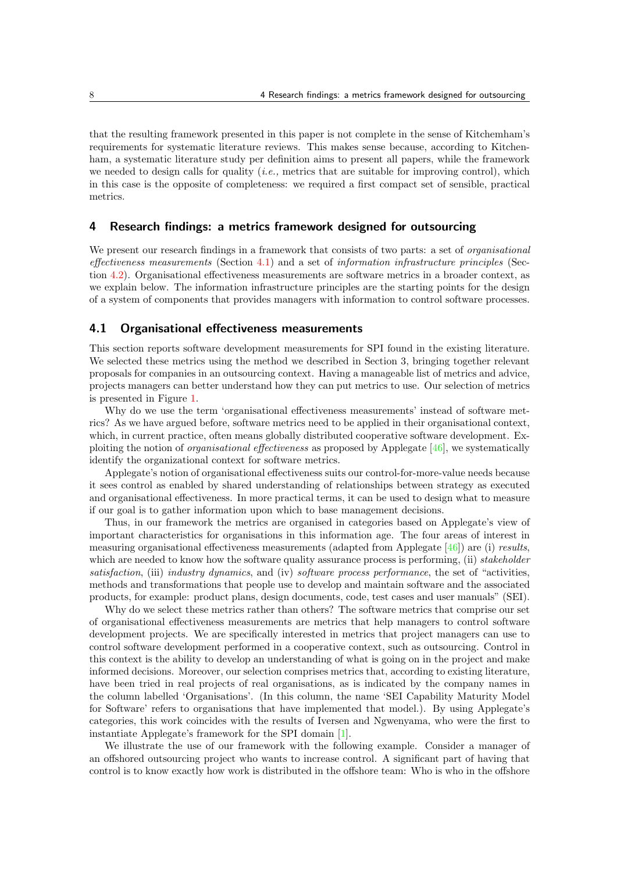that the resulting framework presented in this paper is not complete in the sense of Kitchemham's requirements for systematic literature reviews. This makes sense because, according to Kitchenham, a systematic literature study per definition aims to present all papers, while the framework we needed to design calls for quality (*i.e.*, metrics that are suitable for improving control), which in this case is the opposite of completeness: we required a first compact set of sensible, practical metrics.

## <span id="page-7-0"></span>4 Research findings: a metrics framework designed for outsourcing

We present our research findings in a framework that consists of two parts: a set of *organisational* effectiveness measurements (Section [4.1\)](#page-7-1) and a set of information infrastructure principles (Section [4.2\)](#page-9-0). Organisational effectiveness measurements are software metrics in a broader context, as we explain below. The information infrastructure principles are the starting points for the design of a system of components that provides managers with information to control software processes.

## <span id="page-7-1"></span>4.1 Organisational effectiveness measurements

This section reports software development measurements for SPI found in the existing literature. We selected these metrics using the method we described in Section 3, bringing together relevant proposals for companies in an outsourcing context. Having a manageable list of metrics and advice, projects managers can better understand how they can put metrics to use. Our selection of metrics is presented in Figure [1.](#page-8-0)

Why do we use the term 'organisational effectiveness measurements' instead of software metrics? As we have argued before, software metrics need to be applied in their organisational context, which, in current practice, often means globally distributed cooperative software development. Exploiting the notion of *organisational effectiveness* as proposed by Applegate  $[46]$ , we systematically identify the organizational context for software metrics.

Applegate's notion of organisational effectiveness suits our control-for-more-value needs because it sees control as enabled by shared understanding of relationships between strategy as executed and organisational effectiveness. In more practical terms, it can be used to design what to measure if our goal is to gather information upon which to base management decisions.

Thus, in our framework the metrics are organised in categories based on Applegate's view of important characteristics for organisations in this information age. The four areas of interest in measuring organisational effectiveness measurements (adapted from Applegate  $[46]$ ) are (i) results, which are needed to know how the software quality assurance process is performing, (ii) stakeholder satisfaction, (iii) industry dynamics, and (iv) software process performance, the set of "activities, methods and transformations that people use to develop and maintain software and the associated products, for example: product plans, design documents, code, test cases and user manuals" (SEI).

Why do we select these metrics rather than others? The software metrics that comprise our set of organisational effectiveness measurements are metrics that help managers to control software development projects. We are specifically interested in metrics that project managers can use to control software development performed in a cooperative context, such as outsourcing. Control in this context is the ability to develop an understanding of what is going on in the project and make informed decisions. Moreover, our selection comprises metrics that, according to existing literature, have been tried in real projects of real organisations, as is indicated by the company names in the column labelled 'Organisations'. (In this column, the name 'SEI Capability Maturity Model for Software' refers to organisations that have implemented that model.). By using Applegate's categories, this work coincides with the results of Iversen and Ngwenyama, who were the first to instantiate Applegate's framework for the SPI domain [\[1\]](#page-16-0).

We illustrate the use of our framework with the following example. Consider a manager of an offshored outsourcing project who wants to increase control. A significant part of having that control is to know exactly how work is distributed in the offshore team: Who is who in the offshore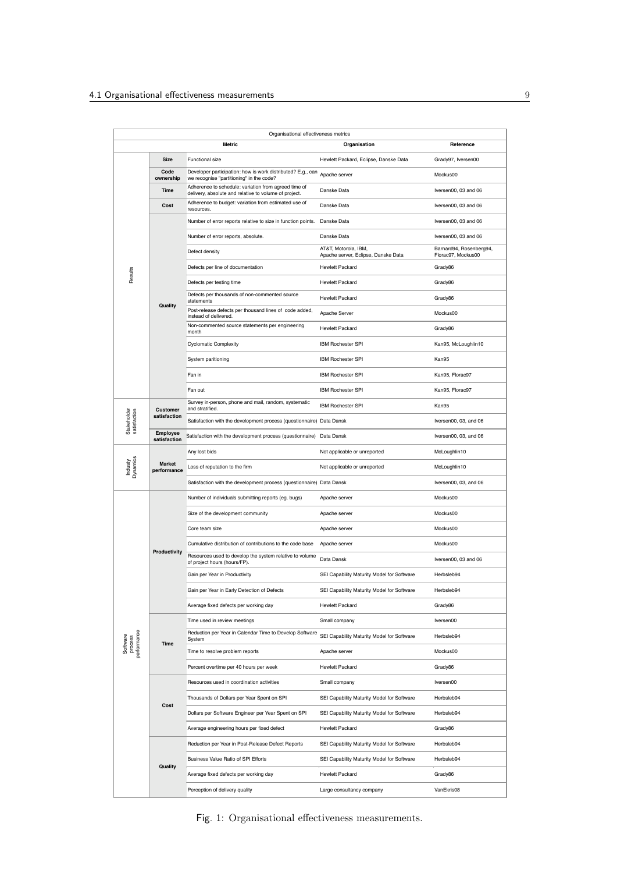| Organisational effectiveness metrics |                                 |                                                                                                               |                                                             |                                               |  |  |
|--------------------------------------|---------------------------------|---------------------------------------------------------------------------------------------------------------|-------------------------------------------------------------|-----------------------------------------------|--|--|
|                                      |                                 | <b>Metric</b>                                                                                                 | Organisation                                                | Reference                                     |  |  |
|                                      | <b>Size</b>                     | Functional size                                                                                               | Hewlett Packard, Eclipse, Danske Data                       | Grady97, Iversen00                            |  |  |
|                                      | Code<br>ownership               | Developer participation: how is work distributed? E.g., can<br>we recognise "partitioning" in the code?       | Apache server                                               | Mockus00                                      |  |  |
|                                      | Time                            | Adherence to schedule: variation from agreed time of<br>delivery, absolute and relative to volume of project. | Danske Data                                                 | Iversen00, 03 and 06                          |  |  |
|                                      | Cost                            | Adherence to budget: variation from estimated use of<br>resources.                                            | Danske Data                                                 | Iversen00, 03 and 06                          |  |  |
|                                      |                                 | Number of error reports relative to size in function points.  Danske Data                                     |                                                             | Iversen00, 03 and 06                          |  |  |
|                                      |                                 | Number of error reports, absolute.                                                                            | Danske Data                                                 | Iversen00, 03 and 06                          |  |  |
|                                      |                                 | Defect density                                                                                                | AT&T, Motorola, IBM,<br>Apache server, Eclipse, Danske Data | Barnard94, Rosenberg94,<br>Florac97, Mockus00 |  |  |
|                                      |                                 | Defects per line of documentation                                                                             | <b>Hewlett Packard</b>                                      | Grady86                                       |  |  |
| Results                              |                                 | Defects per testing time                                                                                      | <b>Hewlett Packard</b>                                      | Grady86                                       |  |  |
|                                      |                                 | Defects per thousands of non-commented source<br>statements                                                   | <b>Hewlett Packard</b>                                      | Grady86                                       |  |  |
|                                      | Quality                         | Post-release defects per thousand lines of code added,<br>instead of delivered.                               | Apache Server                                               | Mockus00                                      |  |  |
|                                      |                                 | Non-commented source statements per engineering<br>month                                                      | Hewlett Packard                                             | Grady86                                       |  |  |
|                                      |                                 | <b>Cyclomatic Complexity</b>                                                                                  | IBM Rochester SPI                                           | Kan95, McLoughlin10                           |  |  |
|                                      |                                 | System paritioning                                                                                            | IBM Rochester SPI                                           | Kan95                                         |  |  |
|                                      |                                 | Fan in                                                                                                        | IBM Rochester SPI                                           | Kan95, Florac97                               |  |  |
|                                      |                                 | Fan out                                                                                                       | IBM Rochester SPI                                           | Kan95, Florac97                               |  |  |
|                                      | <b>Customer</b>                 | Survey in-person, phone and mail, random, systematic<br>and stratified.                                       | IBM Rochester SPI                                           | Kan95                                         |  |  |
| Stakeholder<br>satisfaction          | satisfaction                    | Satisfaction with the development process (questionnaire) Data Dansk                                          |                                                             | Iversen00, 03, and 06                         |  |  |
|                                      | <b>Employee</b><br>satisfaction | Satisfaction with the development process (questionnaire) Data Dansk                                          |                                                             | Iversen00, 03, and 06                         |  |  |
|                                      |                                 | Any lost bids                                                                                                 | Not applicable or unreported                                | McLoughlin10                                  |  |  |
| Industy<br>Dynamics                  | Market<br>performance           | Loss of reputation to the firm                                                                                | Not applicable or unreported                                | McLoughlin10                                  |  |  |
|                                      |                                 | Satisfaction with the development process (questionnaire) Data Dansk                                          |                                                             | Iversen00, 03, and 06                         |  |  |
|                                      |                                 | Number of individuals submitting reports (eg. bugs)                                                           | Apache server                                               | Mockus00                                      |  |  |
|                                      |                                 | Size of the development community                                                                             | Apache server                                               | Mockus00                                      |  |  |
|                                      |                                 | Core team size                                                                                                | Apache server                                               | Mockus00                                      |  |  |
|                                      |                                 | Cumulative distribution of contributions to the code base                                                     | Apache server                                               | Mockus00                                      |  |  |
|                                      | Productivity                    | Resources used to develop the system relative to volume<br>of project hours (hours/FP).                       | Data Dansk                                                  | Iversen00, 03 and 06                          |  |  |
|                                      |                                 | Gain per Year in Productivity                                                                                 | SEI Capability Maturity Model for Software                  | Herbsleb94                                    |  |  |
|                                      |                                 | Gain per Year in Early Detection of Defects                                                                   | SEI Capability Maturity Model for Software                  | Herbsleb94                                    |  |  |
|                                      |                                 | Average fixed defects per working day                                                                         | <b>Hewlett Packard</b>                                      | Grady86                                       |  |  |
|                                      |                                 | Time used in review meetings                                                                                  | Small company                                               | Iversen00                                     |  |  |
|                                      |                                 | Reduction per Year in Calendar Time to Develop Software<br>System                                             | SEI Capability Maturity Model for Software                  | Herbsleb94                                    |  |  |
| Software<br>process<br>performance   | <b>Time</b>                     | Time to resolve problem reports                                                                               | Apache server                                               | Mockus00                                      |  |  |
|                                      |                                 | Percent overtime per 40 hours per week                                                                        | Hewlett Packard                                             | Grady86                                       |  |  |
|                                      |                                 | Resources used in coordination activities                                                                     | Small company                                               | Iversen00                                     |  |  |
|                                      |                                 | Thousands of Dollars per Year Spent on SPI                                                                    | SEI Capability Maturity Model for Software                  | Herbsleb94                                    |  |  |
|                                      | Cost                            | Dollars per Software Engineer per Year Spent on SPI                                                           | SEI Capability Maturity Model for Software                  | Herbsleb94                                    |  |  |
|                                      |                                 | Average engineering hours per fixed defect                                                                    | Hewlett Packard                                             | Grady86                                       |  |  |
|                                      |                                 | Reduction per Year in Post-Release Defect Reports                                                             | SEI Capability Maturity Model for Software                  | Herbsleb94                                    |  |  |
|                                      | Quality                         | Business Value Ratio of SPI Efforts                                                                           | SEI Capability Maturity Model for Software                  | Herbsleb94                                    |  |  |
|                                      |                                 | Average fixed defects per working day                                                                         | Hewlett Packard                                             | Grady86                                       |  |  |
|                                      |                                 | Perception of delivery quality                                                                                | Large consultancy company                                   | VanEkris08                                    |  |  |

<span id="page-8-0"></span>Fig. 1: Organisational effectiveness measurements.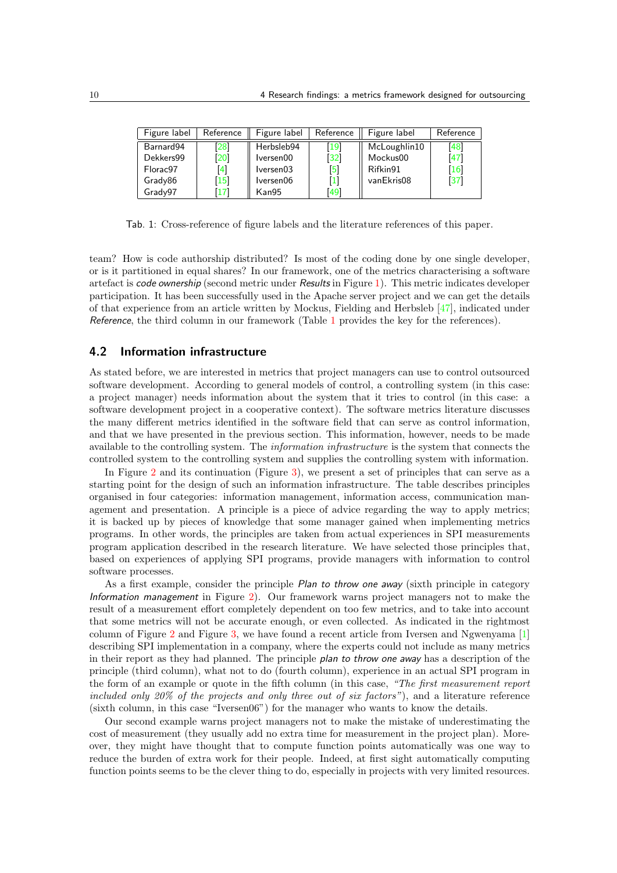| Figure label | Reference       | Figure label | Reference          | Figure label | Reference |
|--------------|-----------------|--------------|--------------------|--------------|-----------|
| Barnard94    | $\sqrt{28}$     | Herbsleb94   | $\lceil 19 \rceil$ | McLoughlin10 | [48]      |
| Dekkers99    | [20]            | lversen00    | 32                 | Mockus00     | [47]      |
| Florac97     | $\vert 4 \vert$ | Iversen03    | $\sqrt{5}$         | Rifkin91     | 16        |
| Gradv86      | $[15]$          | lversen06    | $\left[1\right]$   | vanEkris08   | $[37]$    |
| Grady97      | [17]            | Kan95        | [49]               |              |           |

<span id="page-9-1"></span>Tab. 1: Cross-reference of figure labels and the literature references of this paper.

team? How is code authorship distributed? Is most of the coding done by one single developer, or is it partitioned in equal shares? In our framework, one of the metrics characterising a software artefact is code ownership (second metric under Results in Figure [1\)](#page-8-0). This metric indicates developer participation. It has been successfully used in the Apache server project and we can get the details of that experience from an article written by Mockus, Fielding and Herbsleb [\[47\]](#page-19-10), indicated under Reference, the third column in our framework (Table [1](#page-9-1) provides the key for the references).

## <span id="page-9-0"></span>4.2 Information infrastructure

As stated before, we are interested in metrics that project managers can use to control outsourced software development. According to general models of control, a controlling system (in this case: a project manager) needs information about the system that it tries to control (in this case: a software development project in a cooperative context). The software metrics literature discusses the many different metrics identified in the software field that can serve as control information, and that we have presented in the previous section. This information, however, needs to be made available to the controlling system. The information infrastructure is the system that connects the controlled system to the controlling system and supplies the controlling system with information.

In Figure [2](#page-10-0) and its continuation (Figure [3\)](#page-11-0), we present a set of principles that can serve as a starting point for the design of such an information infrastructure. The table describes principles organised in four categories: information management, information access, communication management and presentation. A principle is a piece of advice regarding the way to apply metrics; it is backed up by pieces of knowledge that some manager gained when implementing metrics programs. In other words, the principles are taken from actual experiences in SPI measurements program application described in the research literature. We have selected those principles that, based on experiences of applying SPI programs, provide managers with information to control software processes.

As a first example, consider the principle Plan to throw one away (sixth principle in category Information management in Figure [2\)](#page-10-0). Our framework warns project managers not to make the result of a measurement effort completely dependent on too few metrics, and to take into account that some metrics will not be accurate enough, or even collected. As indicated in the rightmost column of Figure [2](#page-10-0) and Figure [3,](#page-11-0) we have found a recent article from Iversen and Ngwenyama [\[1\]](#page-16-0) describing SPI implementation in a company, where the experts could not include as many metrics in their report as they had planned. The principle plan to throw one away has a description of the principle (third column), what not to do (fourth column), experience in an actual SPI program in the form of an example or quote in the fifth column (in this case, "The first measurement report included only 20% of the projects and only three out of six factors"), and a literature reference (sixth column, in this case "Iversen06") for the manager who wants to know the details.

Our second example warns project managers not to make the mistake of underestimating the cost of measurement (they usually add no extra time for measurement in the project plan). Moreover, they might have thought that to compute function points automatically was one way to reduce the burden of extra work for their people. Indeed, at first sight automatically computing function points seems to be the clever thing to do, especially in projects with very limited resources.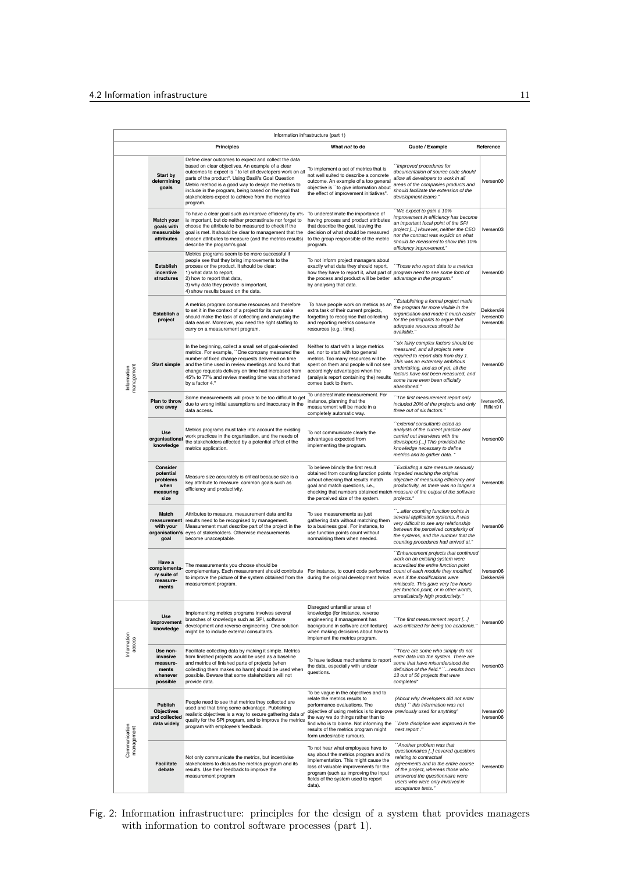| Information infrastructure (part 1) |                                                                   |                                                                                                                                                                                                                                                                                                                                                                                                            |                                                                                                                                                                                                                                                                                                                                        |                                                                                                                                                                                                                                                                                   |                                     |  |  |
|-------------------------------------|-------------------------------------------------------------------|------------------------------------------------------------------------------------------------------------------------------------------------------------------------------------------------------------------------------------------------------------------------------------------------------------------------------------------------------------------------------------------------------------|----------------------------------------------------------------------------------------------------------------------------------------------------------------------------------------------------------------------------------------------------------------------------------------------------------------------------------------|-----------------------------------------------------------------------------------------------------------------------------------------------------------------------------------------------------------------------------------------------------------------------------------|-------------------------------------|--|--|
|                                     |                                                                   | <b>Principles</b>                                                                                                                                                                                                                                                                                                                                                                                          | What not to do                                                                                                                                                                                                                                                                                                                         | Quote / Example                                                                                                                                                                                                                                                                   | Reference                           |  |  |
|                                     | Start by<br>determining<br>goals                                  | Define clear outcomes to expect and collect the data<br>based on clear objectives. An example of a clear<br>outcomes to expect is "to let all developers work on all<br>parts of the product". Using Basili's Goal Question<br>Metric method is a good way to design the metrics to<br>include in the program, being based on the goal that<br>stakeholders expect to achieve from the metrics<br>program. | To implement a set of metrics that is<br>not well suited to describe a concrete<br>outcome. An example of a too general<br>objective is "to give information about<br>the effect of improvement initiatives".                                                                                                                          | "Improved procedures for<br>documentation of source code should<br>allow all developers to work in all<br>areas of the companies products and<br>should facilitate the extension of the<br>development teams."                                                                    | Iversen00                           |  |  |
|                                     | <b>Match your</b><br>goals with<br>measurable<br>attributes       | To have a clear goal such as improve efficiency by x%<br>is important, but do neither procrastinate nor forget to<br>choose the attribute to be measured to check if the<br>goal is met. It should be clear to management that the<br>chosen attributes to measure (and the metrics results)<br>describe the program's goal.                                                                               | To underestimate the importance of<br>having process and product attributes<br>that describe the goal, leaving the<br>decision of what should be measured<br>to the group responsible of the metric<br>program.                                                                                                                        | We expect to gain a 10%<br>improvement in efficiency has become<br>an important focal point of the SPI<br>project [] However, neither the CEO<br>nor the contract was explicit on what<br>should be measured to show this 10%<br>efficiency improvement."                         | Iversen03                           |  |  |
|                                     | Establish<br>incentive<br>structures                              | Metrics programs seem to be more successful if<br>people see that they bring improvements to the<br>process or the product. It should be clear:<br>1) what data to report,<br>2) how to report that data,<br>3) why data they provide is important,<br>4) show results based on the data.                                                                                                                  | To not inform project managers about<br>exactly what data they should report,<br>how they have to report it, what part of program need to see some form of<br>the process and product will be better advantage in the program."<br>by analysing that data.                                                                             | Those who report data to a metrics                                                                                                                                                                                                                                                | lversen00                           |  |  |
|                                     | Establish a<br>project                                            | A metrics program consume resources and therefore<br>to set it in the context of a project for its own sake<br>should make the task of collecting and analysing the<br>data easier. Moreover, you need the right staffing to<br>carry on a measurement program.                                                                                                                                            | To have people work on metrics as an<br>extra task of their current projects,<br>forgetting to recognise that collecting<br>and reporting metrics consume<br>resources (e.g., time).                                                                                                                                                   | "Establishing a formal project made<br>the program far more visible in the<br>organisation and made it much easier<br>for the participants to argue that<br>adequate resources should be<br>available."                                                                           | Dekkers99<br>Iversen00<br>Iversen06 |  |  |
| Information<br>management           | <b>Start simple</b>                                               | In the beginning, collect a small set of goal-oriented<br>metrics. For example, "One company measured the<br>number of fixed change requests delivered on time<br>and the time used in review meetings and found that<br>change requests delivery on time had increased from<br>45% to 77% and review meeting time was shortened<br>by a factor 4."                                                        | Neither to start with a large metrics<br>set, nor to start with too general<br>metrics. Too many resources will be<br>spent on them and people will not see<br>accordingly advantages when the<br>(analysis report containing the) results<br>comes back to them.                                                                      | "six fairly complex factors should be<br>measured, and all projects were<br>required to report data from day 1.<br>This was an extremely ambitious<br>undertaking, and as of yet, all the<br>factors have not been measured, and<br>some have even been officially<br>abandoned." | Iversen00                           |  |  |
|                                     | Plan to throw<br>one away                                         | Some measurements will prove to be too difficult to get<br>due to wrong initial assumptions and inaccuracy in the<br>data access.                                                                                                                                                                                                                                                                          | To underestimate measurement. For<br>instance, planning that the<br>measurement will be made in a<br>completely automatic way.                                                                                                                                                                                                         | "The first measurement report only<br>included 20% of the projects and only<br>three out of six factors."                                                                                                                                                                         | Iversen06.<br>Rifkin91              |  |  |
|                                     | Use<br>organisational<br>knowledge                                | Metrics programs must take into account the existing<br>work practices in the organisation, and the needs of<br>the stakeholders affected by a potential effect of the<br>metrics application.                                                                                                                                                                                                             | To not communicate clearly the<br>advantages expected from<br>implementing the program.                                                                                                                                                                                                                                                | "external consultants acted as<br>analysts of the current practice and<br>carried out interviews with the<br>developers [] This provided the<br>knowledge necessary to define<br>metrics and to gather data."                                                                     | lversen00                           |  |  |
|                                     | Consider<br>potential<br>problems<br>when<br>measuring<br>size    | Measure size accurately is critical because size is a<br>key attribute to measure common goals such as<br>efficiency and productivity.                                                                                                                                                                                                                                                                     | To believe blindly the first result<br>obtained from counting function points impeded reaching the original<br>wihout checking that results match<br>goal and match questions, i.e.,<br>checking that numbers obtained match measure of the output of the software<br>the perceived size of the system.                                | "Excluding a size measure seriously<br>objective of measuring efficiency and<br>productivity, as there was no longer a<br>projects."                                                                                                                                              | Iversen06                           |  |  |
|                                     | Match<br>measurement<br>with your<br>goal                         | Attributes to measure, measurement data and its<br>results need to be recognised by management.<br>Measurement must describe part of the project in the<br>organisation's eyes of stakeholders. Otherwise measurements<br>become unacceptable.                                                                                                                                                             | To see measurements as just<br>gathering data without matching them<br>to a business goal. For instance, to<br>use function points count without<br>normalising them when needed.                                                                                                                                                      | "after counting function points in<br>several application systems, it was<br>very difficult to see any relationship<br>between the perceived complexity of<br>the systems, and the number that the<br>counting procedures had arrived at.'                                        | Iversen06                           |  |  |
|                                     | Have a<br>complementa-<br>ry suite of<br>measure-<br>ments        | The measurements you choose should be<br>complementary. Each measurement should contribute For instance, to count code performed count of each module they modified,<br>to improve the picture of the system obtained from the during the original development twice. even if the modifications were<br>measurement program.                                                                               |                                                                                                                                                                                                                                                                                                                                        | "Enhancement projects that continued<br>work on an existing system were<br>accredited the entire function point<br>miniscule. This gave very few hours<br>per function point, or in other words,<br>unrealistically high productivity."                                           | Iversen06<br>Dekkers99              |  |  |
|                                     | Use<br>improvement<br>knowledge                                   | Implementing metrics programs involves several<br>branches of knowledge such as SPI, software<br>development and reverse engineering. One solution<br>might be to include external consultants.                                                                                                                                                                                                            | Disregard unfamiliar areas of<br>knowledge (for instance, reverse<br>engineering if management has<br>background in software architecture)<br>when making decisions about how to<br>implement the metrics program.                                                                                                                     | "The first measurement report []<br>was criticized for being too academic."                                                                                                                                                                                                       | Iversen00                           |  |  |
| Information<br>access               | Use non-<br>invasive<br>measure-<br>ments<br>whenever<br>possible | Facilitate collecting data by making it simple. Metrics<br>from finished projects would be used as a baseline<br>and metrics of finished parts of projects (when<br>collecting them makes no harm) should be used when<br>possible. Beware that some stakeholders will not<br>provide data.                                                                                                                | To have tedious mechanisms to report<br>the data, especially with unclear<br>questions.                                                                                                                                                                                                                                                | "There are some who simply do not<br>enter data into the system. There are<br>some that have misunderstood the<br>definition of the field." "results from<br>13 out of 56 projects that were<br>completed"                                                                        | Iversen03                           |  |  |
|                                     | Publish<br><b>Objectives</b><br>and collected<br>data widely      | People need to see that metrics they collected are<br>used and that bring some advantage. Publishing<br>realistic objectives is a way to secure gathering data of<br>quality for the SPI program, and to improve the metrics<br>program with employee's feedback.                                                                                                                                          | To be vague in the objectives and to<br>relate the metrics results to<br>performance evaluations. The<br>objective of using metrics is to improve previously used for anything"<br>the way we do things rather than to<br>find who is to blame. Not informing the<br>results of the metrics program might<br>form undesirable rumours. | (About why developers did not enter<br>data) " this information was not<br>"Data discipline was improved in the<br>next report."                                                                                                                                                  | Iversen00<br>Iversen06              |  |  |
| Communication<br>management         | <b>Facilitate</b><br>debate                                       | Not only communicate the metrics, but incentivise<br>stakeholders to discuss the metrics program and its<br>results. Use their feedback to improve the<br>measurement program                                                                                                                                                                                                                              | To not hear what employees have to<br>say about the metrics program and its<br>implementation. This might cause the<br>loss of valuable improvements for the<br>program (such as improving the input<br>fields of the system used to report<br>data).                                                                                  | "Another problem was that<br>questionnaires [] covered questions<br>relating to contractual<br>agreements and to the entire course<br>of the project, whereas those who<br>answered the questionnaire were<br>users who were only involved in<br>acceptance tests."               | Iversen00                           |  |  |

<span id="page-10-0"></span>Fig. 2: Information infrastructure: principles for the design of a system that provides managers with information to control software processes (part 1).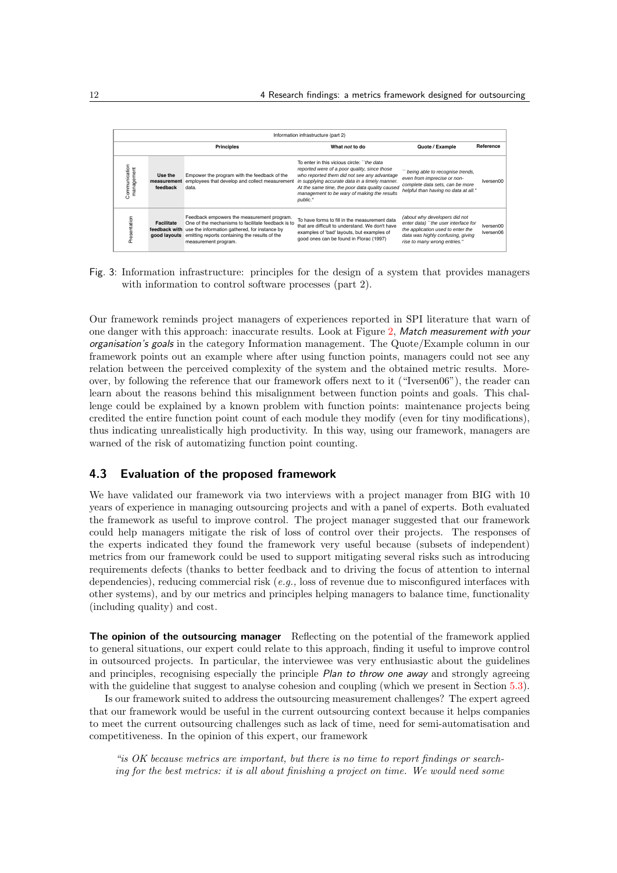|                   | Information infrastructure (part 2) |                                    |                                                                                                                                                                                                                                           |                                                                                                                                                                                                                                                                                                           |                                                                                                                                                                                |                        |
|-------------------|-------------------------------------|------------------------------------|-------------------------------------------------------------------------------------------------------------------------------------------------------------------------------------------------------------------------------------------|-----------------------------------------------------------------------------------------------------------------------------------------------------------------------------------------------------------------------------------------------------------------------------------------------------------|--------------------------------------------------------------------------------------------------------------------------------------------------------------------------------|------------------------|
| <b>Principles</b> |                                     |                                    | What not to do                                                                                                                                                                                                                            | Quote / Example                                                                                                                                                                                                                                                                                           | Reference                                                                                                                                                                      |                        |
|                   | Communication<br>management         | Use the<br>measurement<br>feedback | Empower the program with the feedback of the<br>employees that develop and collect measurement<br>data.                                                                                                                                   | To enter in this vicious circle: "the data"<br>reported were of a poor quality, since those<br>who reported them did not see any advantage<br>in supplying accurate data in a timely manner.<br>At the same time, the poor data quality caused<br>management to be wary of making the results<br>public." | being able to recognise trends,<br>even from imprecise or non-<br>complete data sets, can be more<br>helpful than having no data at all."                                      | Iversen00              |
|                   | esentation                          | <b>Facilitate</b><br>good layouts  | Feedback empowers the measurement program.<br>One of the mechanisms to facilitate feedback is to<br>feedback with use the information gathered, for instance by<br>emitting reports containing the results of the<br>measurement program. | To have forms to fill in the measurement data<br>that are difficult to understand. We don't have<br>examples of 'bad' layouts, but examples of<br>good ones can be found in Florac (1997)                                                                                                                 | (about why developers did not<br>enter data) "the user interface for<br>the application used to enter the<br>data was highly confusing, giving<br>rise to many wrong entries." | Iversen00<br>Iversen06 |

<span id="page-11-0"></span>Fig. 3: Information infrastructure: principles for the design of a system that provides managers with information to control software processes (part 2).

Our framework reminds project managers of experiences reported in SPI literature that warn of one danger with this approach: inaccurate results. Look at Figure [2,](#page-10-0) Match measurement with your organisation's goals in the category Information management. The Quote/Example column in our framework points out an example where after using function points, managers could not see any relation between the perceived complexity of the system and the obtained metric results. Moreover, by following the reference that our framework offers next to it ("Iversen06"), the reader can learn about the reasons behind this misalignment between function points and goals. This challenge could be explained by a known problem with function points: maintenance projects being credited the entire function point count of each module they modify (even for tiny modifications), thus indicating unrealistically high productivity. In this way, using our framework, managers are warned of the risk of automatizing function point counting.

#### 4.3 Evaluation of the proposed framework

We have validated our framework via two interviews with a project manager from BIG with 10 years of experience in managing outsourcing projects and with a panel of experts. Both evaluated the framework as useful to improve control. The project manager suggested that our framework could help managers mitigate the risk of loss of control over their projects. The responses of the experts indicated they found the framework very useful because (subsets of independent) metrics from our framework could be used to support mitigating several risks such as introducing requirements defects (thanks to better feedback and to driving the focus of attention to internal dependencies), reducing commercial risk (e.g., loss of revenue due to misconfigured interfaces with other systems), and by our metrics and principles helping managers to balance time, functionality (including quality) and cost.

**The opinion of the outsourcing manager** Reflecting on the potential of the framework applied to general situations, our expert could relate to this approach, finding it useful to improve control in outsourced projects. In particular, the interviewee was very enthusiastic about the guidelines and principles, recognising especially the principle *Plan to throw one away* and strongly agreeing with the guideline that suggest to analyse cohesion and coupling (which we present in Section [5.3\)](#page-14-0).

Is our framework suited to address the outsourcing measurement challenges? The expert agreed that our framework would be useful in the current outsourcing context because it helps companies to meet the current outsourcing challenges such as lack of time, need for semi-automatisation and competitiveness. In the opinion of this expert, our framework

"is OK because metrics are important, but there is no time to report findings or searching for the best metrics: it is all about finishing a project on time. We would need some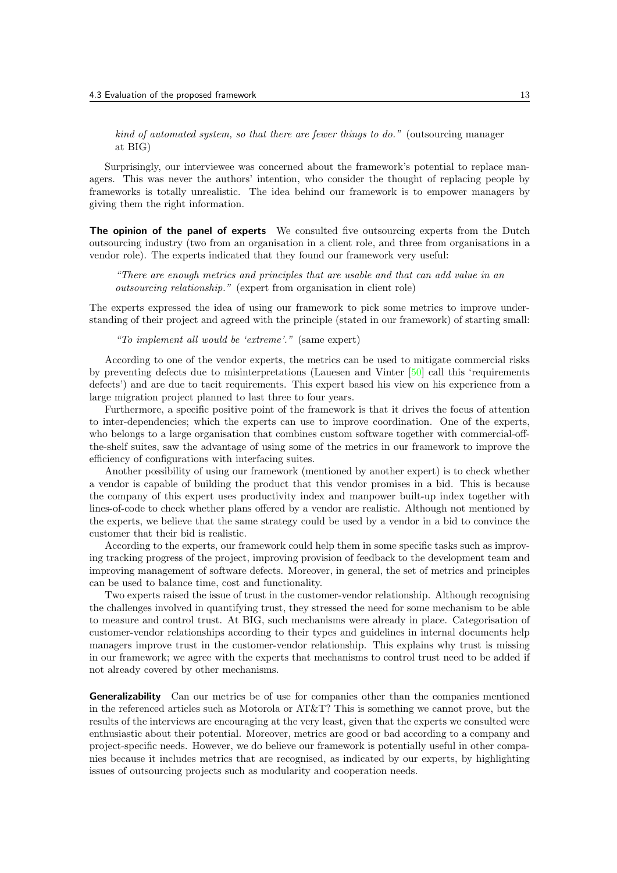kind of automated system, so that there are fewer things to do." (outsourcing manager at BIG)

Surprisingly, our interviewee was concerned about the framework's potential to replace managers. This was never the authors' intention, who consider the thought of replacing people by frameworks is totally unrealistic. The idea behind our framework is to empower managers by giving them the right information.

The opinion of the panel of experts We consulted five outsourcing experts from the Dutch outsourcing industry (two from an organisation in a client role, and three from organisations in a vendor role). The experts indicated that they found our framework very useful:

"There are enough metrics and principles that are usable and that can add value in an outsourcing relationship." (expert from organisation in client role)

The experts expressed the idea of using our framework to pick some metrics to improve understanding of their project and agreed with the principle (stated in our framework) of starting small:

"To implement all would be 'extreme'." (same expert)

According to one of the vendor experts, the metrics can be used to mitigate commercial risks by preventing defects due to misinterpretations (Lauesen and Vinter [\[50\]](#page-19-12) call this 'requirements defects') and are due to tacit requirements. This expert based his view on his experience from a large migration project planned to last three to four years.

Furthermore, a specific positive point of the framework is that it drives the focus of attention to inter-dependencies; which the experts can use to improve coordination. One of the experts, who belongs to a large organisation that combines custom software together with commercial-offthe-shelf suites, saw the advantage of using some of the metrics in our framework to improve the efficiency of configurations with interfacing suites.

Another possibility of using our framework (mentioned by another expert) is to check whether a vendor is capable of building the product that this vendor promises in a bid. This is because the company of this expert uses productivity index and manpower built-up index together with lines-of-code to check whether plans offered by a vendor are realistic. Although not mentioned by the experts, we believe that the same strategy could be used by a vendor in a bid to convince the customer that their bid is realistic.

According to the experts, our framework could help them in some specific tasks such as improving tracking progress of the project, improving provision of feedback to the development team and improving management of software defects. Moreover, in general, the set of metrics and principles can be used to balance time, cost and functionality.

Two experts raised the issue of trust in the customer-vendor relationship. Although recognising the challenges involved in quantifying trust, they stressed the need for some mechanism to be able to measure and control trust. At BIG, such mechanisms were already in place. Categorisation of customer-vendor relationships according to their types and guidelines in internal documents help managers improve trust in the customer-vendor relationship. This explains why trust is missing in our framework; we agree with the experts that mechanisms to control trust need to be added if not already covered by other mechanisms.

Generalizability Can our metrics be of use for companies other than the companies mentioned in the referenced articles such as Motorola or AT&T? This is something we cannot prove, but the results of the interviews are encouraging at the very least, given that the experts we consulted were enthusiastic about their potential. Moreover, metrics are good or bad according to a company and project-specific needs. However, we do believe our framework is potentially useful in other companies because it includes metrics that are recognised, as indicated by our experts, by highlighting issues of outsourcing projects such as modularity and cooperation needs.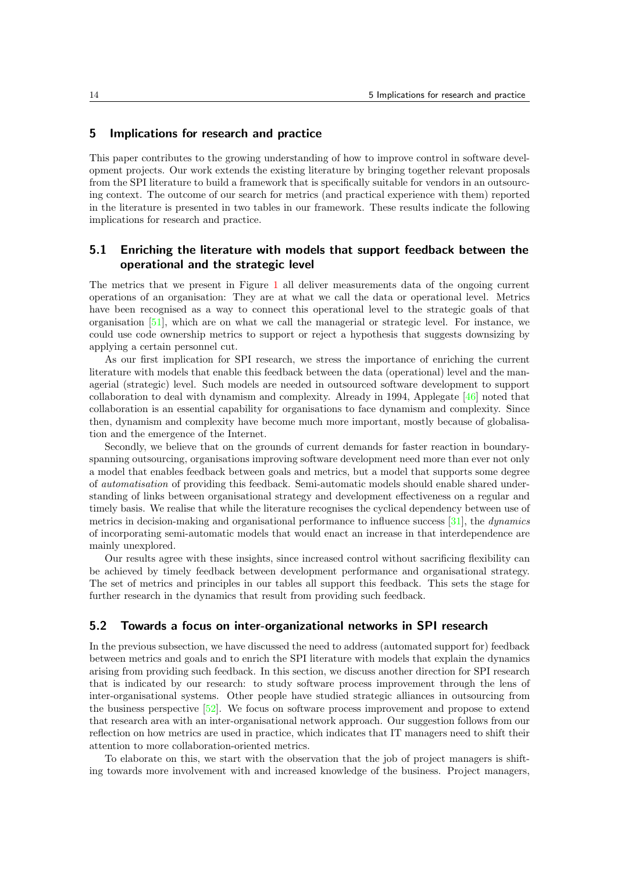## <span id="page-13-0"></span>5 Implications for research and practice

This paper contributes to the growing understanding of how to improve control in software development projects. Our work extends the existing literature by bringing together relevant proposals from the SPI literature to build a framework that is specifically suitable for vendors in an outsourcing context. The outcome of our search for metrics (and practical experience with them) reported in the literature is presented in two tables in our framework. These results indicate the following implications for research and practice.

# <span id="page-13-1"></span>5.1 Enriching the literature with models that support feedback between the operational and the strategic level

The metrics that we present in Figure [1](#page-8-0) all deliver measurements data of the ongoing current operations of an organisation: They are at what we call the data or operational level. Metrics have been recognised as a way to connect this operational level to the strategic goals of that organisation [\[51\]](#page-19-13), which are on what we call the managerial or strategic level. For instance, we could use code ownership metrics to support or reject a hypothesis that suggests downsizing by applying a certain personnel cut.

As our first implication for SPI research, we stress the importance of enriching the current literature with models that enable this feedback between the data (operational) level and the managerial (strategic) level. Such models are needed in outsourced software development to support collaboration to deal with dynamism and complexity. Already in 1994, Applegate [\[46\]](#page-19-8) noted that collaboration is an essential capability for organisations to face dynamism and complexity. Since then, dynamism and complexity have become much more important, mostly because of globalisation and the emergence of the Internet.

Secondly, we believe that on the grounds of current demands for faster reaction in boundaryspanning outsourcing, organisations improving software development need more than ever not only a model that enables feedback between goals and metrics, but a model that supports some degree of automatisation of providing this feedback. Semi-automatic models should enable shared understanding of links between organisational strategy and development effectiveness on a regular and timely basis. We realise that while the literature recognises the cyclical dependency between use of metrics in decision-making and organisational performance to influence success [\[31\]](#page-18-9), the dynamics of incorporating semi-automatic models that would enact an increase in that interdependence are mainly unexplored.

Our results agree with these insights, since increased control without sacrificing flexibility can be achieved by timely feedback between development performance and organisational strategy. The set of metrics and principles in our tables all support this feedback. This sets the stage for further research in the dynamics that result from providing such feedback.

## 5.2 Towards a focus on inter-organizational networks in SPI research

In the previous subsection, we have discussed the need to address (automated support for) feedback between metrics and goals and to enrich the SPI literature with models that explain the dynamics arising from providing such feedback. In this section, we discuss another direction for SPI research that is indicated by our research: to study software process improvement through the lens of inter-organisational systems. Other people have studied strategic alliances in outsourcing from the business perspective [\[52\]](#page-19-14). We focus on software process improvement and propose to extend that research area with an inter-organisational network approach. Our suggestion follows from our reflection on how metrics are used in practice, which indicates that IT managers need to shift their attention to more collaboration-oriented metrics.

To elaborate on this, we start with the observation that the job of project managers is shifting towards more involvement with and increased knowledge of the business. Project managers,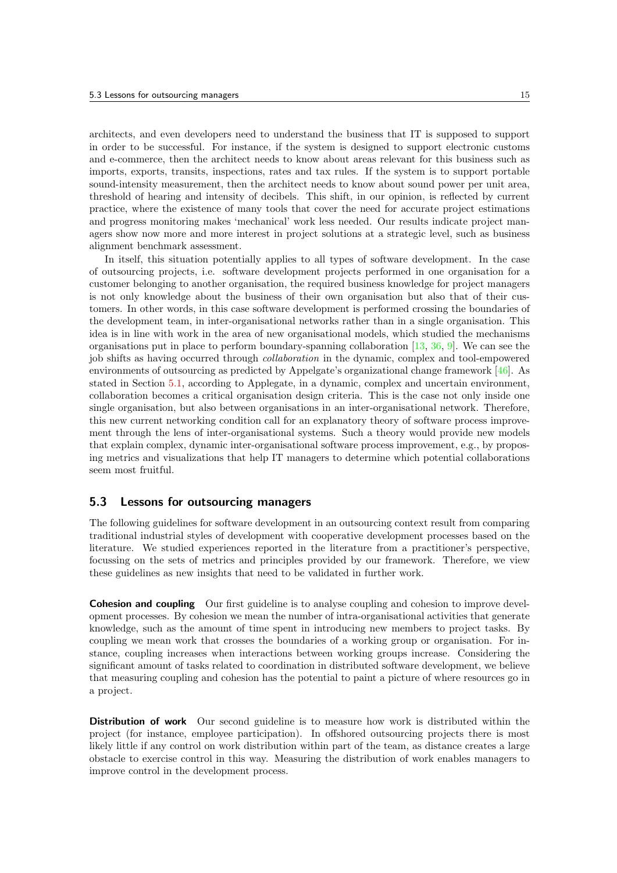architects, and even developers need to understand the business that IT is supposed to support in order to be successful. For instance, if the system is designed to support electronic customs and e-commerce, then the architect needs to know about areas relevant for this business such as imports, exports, transits, inspections, rates and tax rules. If the system is to support portable sound-intensity measurement, then the architect needs to know about sound power per unit area, threshold of hearing and intensity of decibels. This shift, in our opinion, is reflected by current practice, where the existence of many tools that cover the need for accurate project estimations and progress monitoring makes 'mechanical' work less needed. Our results indicate project managers show now more and more interest in project solutions at a strategic level, such as business alignment benchmark assessment.

In itself, this situation potentially applies to all types of software development. In the case of outsourcing projects, i.e. software development projects performed in one organisation for a customer belonging to another organisation, the required business knowledge for project managers is not only knowledge about the business of their own organisation but also that of their customers. In other words, in this case software development is performed crossing the boundaries of the development team, in inter-organisational networks rather than in a single organisation. This idea is in line with work in the area of new organisational models, which studied the mechanisms organisations put in place to perform boundary-spanning collaboration  $[13, 36, 9]$  $[13, 36, 9]$  $[13, 36, 9]$  $[13, 36, 9]$  $[13, 36, 9]$ . We can see the job shifts as having occurred through *collaboration* in the dynamic, complex and tool-empowered environments of outsourcing as predicted by Appelgate's organizational change framework [\[46\]](#page-19-8). As stated in Section [5.1,](#page-13-1) according to Applegate, in a dynamic, complex and uncertain environment, collaboration becomes a critical organisation design criteria. This is the case not only inside one single organisation, but also between organisations in an inter-organisational network. Therefore, this new current networking condition call for an explanatory theory of software process improvement through the lens of inter-organisational systems. Such a theory would provide new models that explain complex, dynamic inter-organisational software process improvement, e.g., by proposing metrics and visualizations that help IT managers to determine which potential collaborations seem most fruitful.

## <span id="page-14-0"></span>5.3 Lessons for outsourcing managers

The following guidelines for software development in an outsourcing context result from comparing traditional industrial styles of development with cooperative development processes based on the literature. We studied experiences reported in the literature from a practitioner's perspective, focussing on the sets of metrics and principles provided by our framework. Therefore, we view these guidelines as new insights that need to be validated in further work.

**Cohesion and coupling** Our first guideline is to analyse coupling and cohesion to improve development processes. By cohesion we mean the number of intra-organisational activities that generate knowledge, such as the amount of time spent in introducing new members to project tasks. By coupling we mean work that crosses the boundaries of a working group or organisation. For instance, coupling increases when interactions between working groups increase. Considering the significant amount of tasks related to coordination in distributed software development, we believe that measuring coupling and cohesion has the potential to paint a picture of where resources go in a project.

Distribution of work Our second guideline is to measure how work is distributed within the project (for instance, employee participation). In offshored outsourcing projects there is most likely little if any control on work distribution within part of the team, as distance creates a large obstacle to exercise control in this way. Measuring the distribution of work enables managers to improve control in the development process.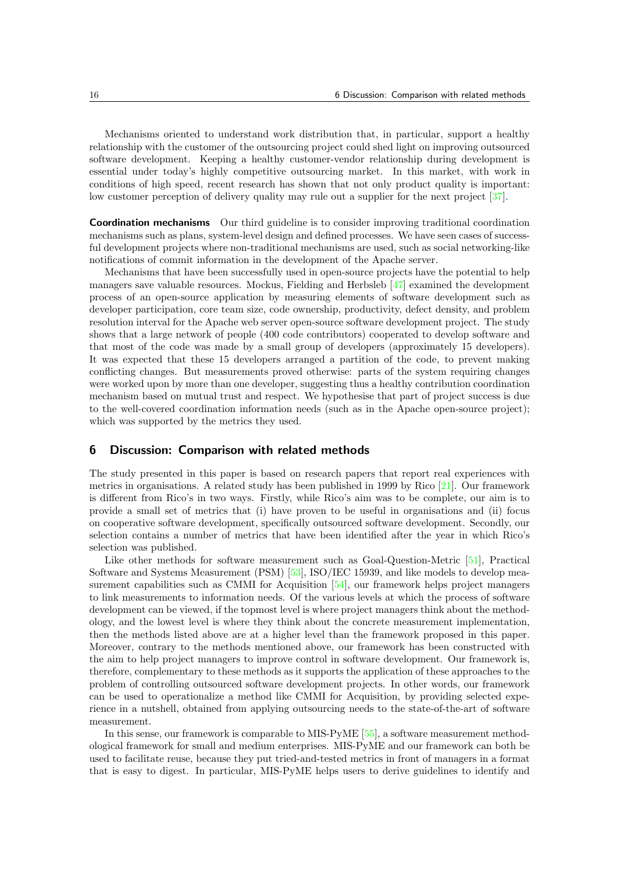Mechanisms oriented to understand work distribution that, in particular, support a healthy relationship with the customer of the outsourcing project could shed light on improving outsourced software development. Keeping a healthy customer-vendor relationship during development is essential under today's highly competitive outsourcing market. In this market, with work in conditions of high speed, recent research has shown that not only product quality is important: low customer perception of delivery quality may rule out a supplier for the next project [\[37\]](#page-18-15).

Coordination mechanisms Our third guideline is to consider improving traditional coordination mechanisms such as plans, system-level design and defined processes. We have seen cases of successful development projects where non-traditional mechanisms are used, such as social networking-like notifications of commit information in the development of the Apache server.

Mechanisms that have been successfully used in open-source projects have the potential to help managers save valuable resources. Mockus, Fielding and Herbsleb [\[47\]](#page-19-10) examined the development process of an open-source application by measuring elements of software development such as developer participation, core team size, code ownership, productivity, defect density, and problem resolution interval for the Apache web server open-source software development project. The study shows that a large network of people (400 code contributors) cooperated to develop software and that most of the code was made by a small group of developers (approximately 15 developers). It was expected that these 15 developers arranged a partition of the code, to prevent making conflicting changes. But measurements proved otherwise: parts of the system requiring changes were worked upon by more than one developer, suggesting thus a healthy contribution coordination mechanism based on mutual trust and respect. We hypothesise that part of project success is due to the well-covered coordination information needs (such as in the Apache open-source project); which was supported by the metrics they used.

## <span id="page-15-0"></span>6 Discussion: Comparison with related methods

The study presented in this paper is based on research papers that report real experiences with metrics in organisations. A related study has been published in 1999 by Rico [\[21\]](#page-17-16). Our framework is different from Rico's in two ways. Firstly, while Rico's aim was to be complete, our aim is to provide a small set of metrics that (i) have proven to be useful in organisations and (ii) focus on cooperative software development, specifically outsourced software development. Secondly, our selection contains a number of metrics that have been identified after the year in which Rico's selection was published.

Like other methods for software measurement such as Goal-Question-Metric [\[51\]](#page-19-13), Practical Software and Systems Measurement (PSM) [\[53\]](#page-19-15), ISO/IEC 15939, and like models to develop measurement capabilities such as CMMI for Acquisition [\[54\]](#page-19-16), our framework helps project managers to link measurements to information needs. Of the various levels at which the process of software development can be viewed, if the topmost level is where project managers think about the methodology, and the lowest level is where they think about the concrete measurement implementation, then the methods listed above are at a higher level than the framework proposed in this paper. Moreover, contrary to the methods mentioned above, our framework has been constructed with the aim to help project managers to improve control in software development. Our framework is, therefore, complementary to these methods as it supports the application of these approaches to the problem of controlling outsourced software development projects. In other words, our framework can be used to operationalize a method like CMMI for Acquisition, by providing selected experience in a nutshell, obtained from applying outsourcing needs to the state-of-the-art of software measurement.

In this sense, our framework is comparable to MIS-PyME [\[55\]](#page-19-17), a software measurement methodological framework for small and medium enterprises. MIS-PyME and our framework can both be used to facilitate reuse, because they put tried-and-tested metrics in front of managers in a format that is easy to digest. In particular, MIS-PyME helps users to derive guidelines to identify and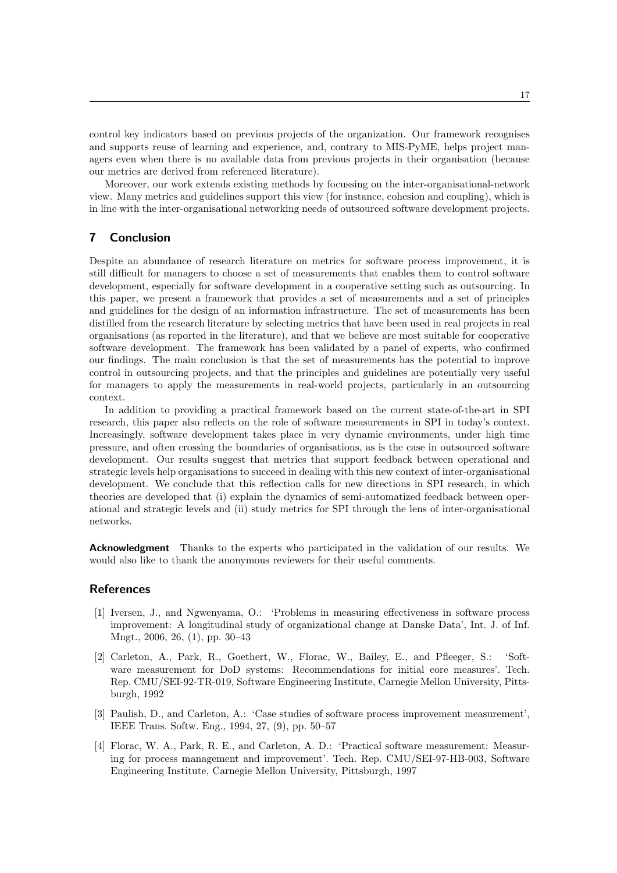control key indicators based on previous projects of the organization. Our framework recognises and supports reuse of learning and experience, and, contrary to MIS-PyME, helps project managers even when there is no available data from previous projects in their organisation (because our metrics are derived from referenced literature).

Moreover, our work extends existing methods by focussing on the inter-organisational-network view. Many metrics and guidelines support this view (for instance, cohesion and coupling), which is in line with the inter-organisational networking needs of outsourced software development projects.

# 7 Conclusion

Despite an abundance of research literature on metrics for software process improvement, it is still difficult for managers to choose a set of measurements that enables them to control software development, especially for software development in a cooperative setting such as outsourcing. In this paper, we present a framework that provides a set of measurements and a set of principles and guidelines for the design of an information infrastructure. The set of measurements has been distilled from the research literature by selecting metrics that have been used in real projects in real organisations (as reported in the literature), and that we believe are most suitable for cooperative software development. The framework has been validated by a panel of experts, who confirmed our findings. The main conclusion is that the set of measurements has the potential to improve control in outsourcing projects, and that the principles and guidelines are potentially very useful for managers to apply the measurements in real-world projects, particularly in an outsourcing context.

In addition to providing a practical framework based on the current state-of-the-art in SPI research, this paper also reflects on the role of software measurements in SPI in today's context. Increasingly, software development takes place in very dynamic environments, under high time pressure, and often crossing the boundaries of organisations, as is the case in outsourced software development. Our results suggest that metrics that support feedback between operational and strategic levels help organisations to succeed in dealing with this new context of inter-organisational development. We conclude that this reflection calls for new directions in SPI research, in which theories are developed that (i) explain the dynamics of semi-automatized feedback between operational and strategic levels and (ii) study metrics for SPI through the lens of inter-organisational networks.

Acknowledgment Thanks to the experts who participated in the validation of our results. We would also like to thank the anonymous reviewers for their useful comments.

## References

- <span id="page-16-0"></span>[1] Iversen, J., and Ngwenyama, O.: 'Problems in measuring effectiveness in software process improvement: A longitudinal study of organizational change at Danske Data', Int. J. of Inf. Mngt., 2006, 26, (1), pp. 30–43
- <span id="page-16-1"></span>[2] Carleton, A., Park, R., Goethert, W., Florac, W., Bailey, E., and Pfleeger, S.: 'Software measurement for DoD systems: Recommendations for initial core measures'. Tech. Rep. CMU/SEI-92-TR-019, Software Engineering Institute, Carnegie Mellon University, Pittsburgh, 1992
- <span id="page-16-2"></span>[3] Paulish, D., and Carleton, A.: 'Case studies of software process improvement measurement', IEEE Trans. Softw. Eng., 1994, 27, (9), pp. 50–57
- <span id="page-16-3"></span>[4] Florac, W. A., Park, R. E., and Carleton, A. D.: 'Practical software measurement: Measuring for process management and improvement'. Tech. Rep. CMU/SEI-97-HB-003, Software Engineering Institute, Carnegie Mellon University, Pittsburgh, 1997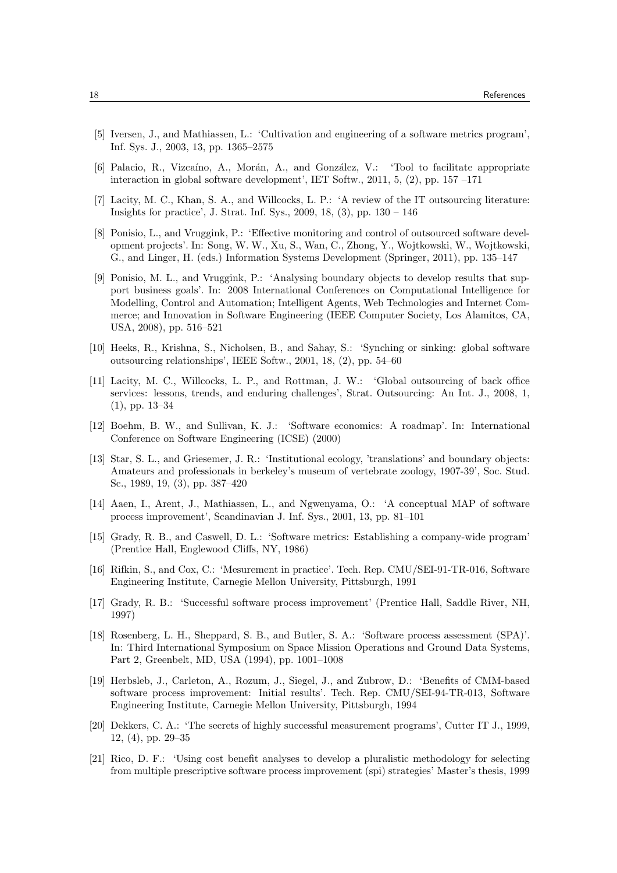- <span id="page-17-0"></span>[5] Iversen, J., and Mathiassen, L.: 'Cultivation and engineering of a software metrics program', Inf. Sys. J., 2003, 13, pp. 1365–2575
- <span id="page-17-1"></span>[6] Palacio, R., Vizcaíno, A., Morán, A., and González, V.: 'Tool to facilitate appropriate interaction in global software development', IET Softw., 2011, 5, (2), pp. 157 –171
- <span id="page-17-2"></span>[7] Lacity, M. C., Khan, S. A., and Willcocks, L. P.: 'A review of the IT outsourcing literature: Insights for practice', J. Strat. Inf. Sys., 2009, 18, (3), pp. 130 – 146
- <span id="page-17-3"></span>[8] Ponisio, L., and Vruggink, P.: 'Effective monitoring and control of outsourced software development projects'. In: Song, W. W., Xu, S., Wan, C., Zhong, Y., Wojtkowski, W., Wojtkowski, G., and Linger, H. (eds.) Information Systems Development (Springer, 2011), pp. 135–147
- <span id="page-17-4"></span>[9] Ponisio, M. L., and Vruggink, P.: 'Analysing boundary objects to develop results that support business goals'. In: 2008 International Conferences on Computational Intelligence for Modelling, Control and Automation; Intelligent Agents, Web Technologies and Internet Commerce; and Innovation in Software Engineering (IEEE Computer Society, Los Alamitos, CA, USA, 2008), pp. 516–521
- <span id="page-17-5"></span>[10] Heeks, R., Krishna, S., Nicholsen, B., and Sahay, S.: 'Synching or sinking: global software outsourcing relationships', IEEE Softw., 2001, 18, (2), pp. 54–60
- <span id="page-17-6"></span>[11] Lacity, M. C., Willcocks, L. P., and Rottman, J. W.: 'Global outsourcing of back office services: lessons, trends, and enduring challenges', Strat. Outsourcing: An Int. J., 2008, 1, (1), pp. 13–34
- <span id="page-17-7"></span>[12] Boehm, B. W., and Sullivan, K. J.: 'Software economics: A roadmap'. In: International Conference on Software Engineering (ICSE) (2000)
- <span id="page-17-8"></span>[13] Star, S. L., and Griesemer, J. R.: 'Institutional ecology, 'translations' and boundary objects: Amateurs and professionals in berkeley's museum of vertebrate zoology, 1907-39', Soc. Stud. Sc., 1989, 19, (3), pp. 387–420
- <span id="page-17-9"></span>[14] Aaen, I., Arent, J., Mathiassen, L., and Ngwenyama, O.: 'A conceptual MAP of software process improvement', Scandinavian J. Inf. Sys., 2001, 13, pp. 81–101
- <span id="page-17-10"></span>[15] Grady, R. B., and Caswell, D. L.: 'Software metrics: Establishing a company-wide program' (Prentice Hall, Englewood Cliffs, NY, 1986)
- <span id="page-17-11"></span>[16] Rifkin, S., and Cox, C.: 'Mesurement in practice'. Tech. Rep. CMU/SEI-91-TR-016, Software Engineering Institute, Carnegie Mellon University, Pittsburgh, 1991
- <span id="page-17-12"></span>[17] Grady, R. B.: 'Successful software process improvement' (Prentice Hall, Saddle River, NH, 1997)
- <span id="page-17-13"></span>[18] Rosenberg, L. H., Sheppard, S. B., and Butler, S. A.: 'Software process assessment (SPA)'. In: Third International Symposium on Space Mission Operations and Ground Data Systems, Part 2, Greenbelt, MD, USA (1994), pp. 1001–1008
- <span id="page-17-14"></span>[19] Herbsleb, J., Carleton, A., Rozum, J., Siegel, J., and Zubrow, D.: 'Benefits of CMM-based software process improvement: Initial results'. Tech. Rep. CMU/SEI-94-TR-013, Software Engineering Institute, Carnegie Mellon University, Pittsburgh, 1994
- <span id="page-17-15"></span>[20] Dekkers, C. A.: 'The secrets of highly successful measurement programs', Cutter IT J., 1999, 12, (4), pp. 29–35
- <span id="page-17-16"></span>[21] Rico, D. F.: 'Using cost benefit analyses to develop a pluralistic methodology for selecting from multiple prescriptive software process improvement (spi) strategies' Master's thesis, 1999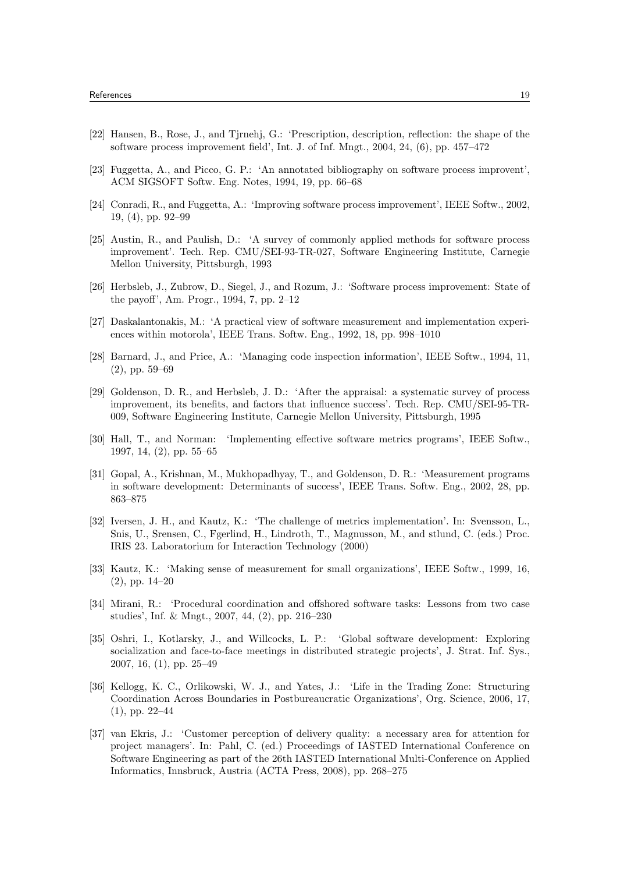- <span id="page-18-0"></span>[22] Hansen, B., Rose, J., and Tjrnehj, G.: 'Prescription, description, reflection: the shape of the software process improvement field', Int. J. of Inf. Mngt., 2004, 24, (6), pp. 457–472
- <span id="page-18-1"></span>[23] Fuggetta, A., and Picco, G. P.: 'An annotated bibliography on software process improvent', ACM SIGSOFT Softw. Eng. Notes, 1994, 19, pp. 66–68
- <span id="page-18-2"></span>[24] Conradi, R., and Fuggetta, A.: 'Improving software process improvement', IEEE Softw., 2002, 19, (4), pp. 92–99
- <span id="page-18-3"></span>[25] Austin, R., and Paulish, D.: 'A survey of commonly applied methods for software process improvement'. Tech. Rep. CMU/SEI-93-TR-027, Software Engineering Institute, Carnegie Mellon University, Pittsburgh, 1993
- <span id="page-18-4"></span>[26] Herbsleb, J., Zubrow, D., Siegel, J., and Rozum, J.: 'Software process improvement: State of the payoff', Am. Progr., 1994, 7, pp. 2–12
- <span id="page-18-5"></span>[27] Daskalantonakis, M.: 'A practical view of software measurement and implementation experiences within motorola', IEEE Trans. Softw. Eng., 1992, 18, pp. 998–1010
- <span id="page-18-6"></span>[28] Barnard, J., and Price, A.: 'Managing code inspection information', IEEE Softw., 1994, 11, (2), pp. 59–69
- <span id="page-18-7"></span>[29] Goldenson, D. R., and Herbsleb, J. D.: 'After the appraisal: a systematic survey of process improvement, its benefits, and factors that influence success'. Tech. Rep. CMU/SEI-95-TR-009, Software Engineering Institute, Carnegie Mellon University, Pittsburgh, 1995
- <span id="page-18-8"></span>[30] Hall, T., and Norman: 'Implementing effective software metrics programs', IEEE Softw., 1997, 14, (2), pp. 55–65
- <span id="page-18-9"></span>[31] Gopal, A., Krishnan, M., Mukhopadhyay, T., and Goldenson, D. R.: 'Measurement programs in software development: Determinants of success', IEEE Trans. Softw. Eng., 2002, 28, pp. 863–875
- <span id="page-18-10"></span>[32] Iversen, J. H., and Kautz, K.: 'The challenge of metrics implementation'. In: Svensson, L., Snis, U., Srensen, C., Fgerlind, H., Lindroth, T., Magnusson, M., and stlund, C. (eds.) Proc. IRIS 23. Laboratorium for Interaction Technology (2000)
- <span id="page-18-11"></span>[33] Kautz, K.: 'Making sense of measurement for small organizations', IEEE Softw., 1999, 16, (2), pp. 14–20
- <span id="page-18-12"></span>[34] Mirani, R.: 'Procedural coordination and offshored software tasks: Lessons from two case studies', Inf. & Mngt., 2007, 44, (2), pp. 216–230
- <span id="page-18-13"></span>[35] Oshri, I., Kotlarsky, J., and Willcocks, L. P.: 'Global software development: Exploring socialization and face-to-face meetings in distributed strategic projects', J. Strat. Inf. Sys., 2007, 16, (1), pp. 25–49
- <span id="page-18-14"></span>[36] Kellogg, K. C., Orlikowski, W. J., and Yates, J.: 'Life in the Trading Zone: Structuring Coordination Across Boundaries in Postbureaucratic Organizations', Org. Science, 2006, 17, (1), pp. 22–44
- <span id="page-18-15"></span>[37] van Ekris, J.: 'Customer perception of delivery quality: a necessary area for attention for project managers'. In: Pahl, C. (ed.) Proceedings of IASTED International Conference on Software Engineering as part of the 26th IASTED International Multi-Conference on Applied Informatics, Innsbruck, Austria (ACTA Press, 2008), pp. 268–275